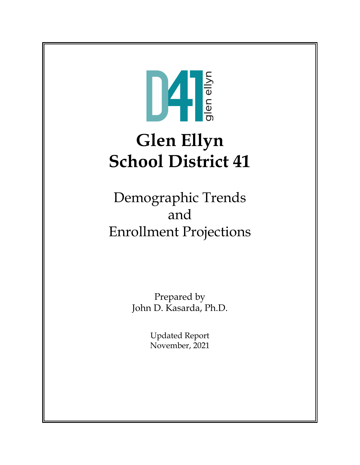

# **Glen Ellyn School District 41**

Demographic Trends and Enrollment Projections

> Prepared by John D. Kasarda, Ph.D.

> > Updated Report November, 2021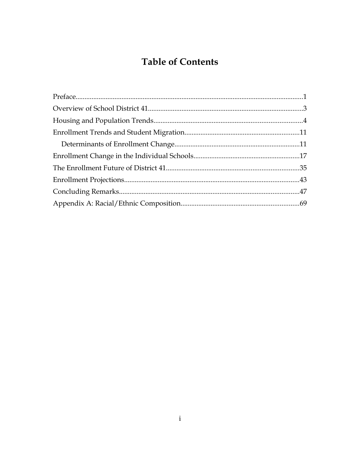# **Table of Contents**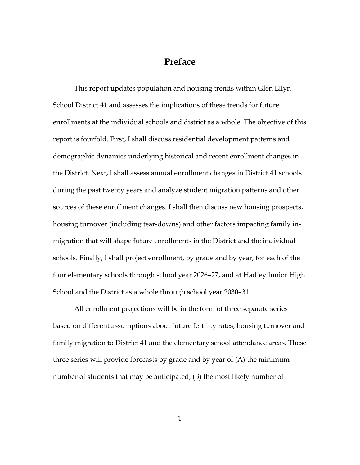## **Preface**

This report updates population and housing trends within Glen Ellyn School District 41 and assesses the implications of these trends for future enrollments at the individual schools and district as a whole. The objective of this report is fourfold. First, I shall discuss residential development patterns and demographic dynamics underlying historical and recent enrollment changes in the District. Next, I shall assess annual enrollment changes in District 41 schools during the past twenty years and analyze student migration patterns and other sources of these enrollment changes. I shall then discuss new housing prospects, housing turnover (including tear-downs) and other factors impacting family inmigration that will shape future enrollments in the District and the individual schools. Finally, I shall project enrollment, by grade and by year, for each of the four elementary schools through school year 2026–27, and at Hadley Junior High School and the District as a whole through school year 2030–31.

All enrollment projections will be in the form of three separate series based on different assumptions about future fertility rates, housing turnover and family migration to District 41 and the elementary school attendance areas. These three series will provide forecasts by grade and by year of (A) the minimum number of students that may be anticipated, (B) the most likely number of

1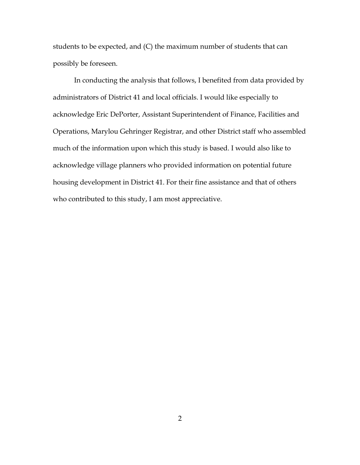students to be expected, and (C) the maximum number of students that can possibly be foreseen.

In conducting the analysis that follows, I benefited from data provided by administrators of District 41 and local officials. I would like especially to acknowledge Eric DePorter, Assistant Superintendent of Finance, Facilities and Operations, Marylou Gehringer Registrar, and other District staff who assembled much of the information upon which this study is based. I would also like to acknowledge village planners who provided information on potential future housing development in District 41. For their fine assistance and that of others who contributed to this study, I am most appreciative.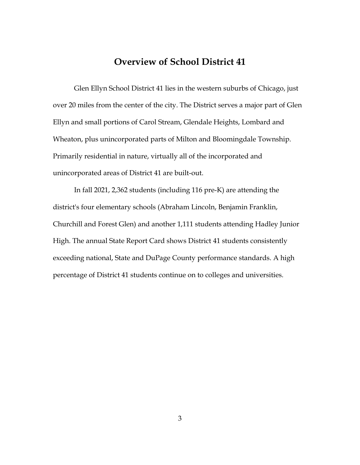### **Overview of School District 41**

Glen Ellyn School District 41 lies in the western suburbs of Chicago, just over 20 miles from the center of the city. The District serves a major part of Glen Ellyn and small portions of Carol Stream, Glendale Heights, Lombard and Wheaton, plus unincorporated parts of Milton and Bloomingdale Township. Primarily residential in nature, virtually all of the incorporated and unincorporated areas of District 41 are built-out.

In fall 2021, 2,362 students (including 116 pre-K) are attending the district's four elementary schools (Abraham Lincoln, Benjamin Franklin, Churchill and Forest Glen) and another 1,111 students attending Hadley Junior High. The annual State Report Card shows District 41 students consistently exceeding national, State and DuPage County performance standards. A high percentage of District 41 students continue on to colleges and universities.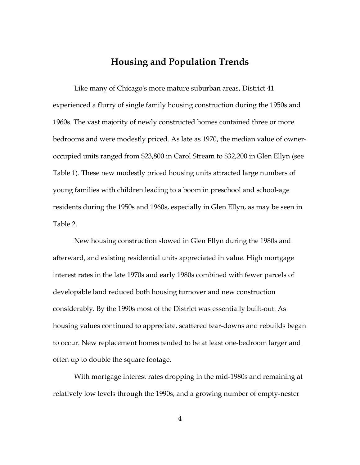### **Housing and Population Trends**

Like many of Chicago's more mature suburban areas, District 41 experienced a flurry of single family housing construction during the 1950s and 1960s. The vast majority of newly constructed homes contained three or more bedrooms and were modestly priced. As late as 1970, the median value of owneroccupied units ranged from \$23,800 in Carol Stream to \$32,200 in Glen Ellyn (see Table 1). These new modestly priced housing units attracted large numbers of young families with children leading to a boom in preschool and school-age residents during the 1950s and 1960s, especially in Glen Ellyn, as may be seen in Table 2.

New housing construction slowed in Glen Ellyn during the 1980s and afterward, and existing residential units appreciated in value. High mortgage interest rates in the late 1970s and early 1980s combined with fewer parcels of developable land reduced both housing turnover and new construction considerably. By the 1990s most of the District was essentially built-out. As housing values continued to appreciate, scattered tear-downs and rebuilds began to occur. New replacement homes tended to be at least one-bedroom larger and often up to double the square footage.

With mortgage interest rates dropping in the mid-1980s and remaining at relatively low levels through the 1990s, and a growing number of empty-nester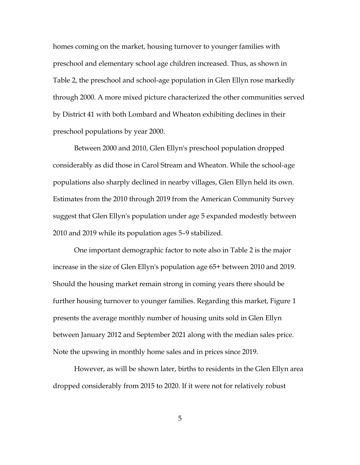homes coming on the market, housing turnover to younger families with preschool and elementary school age children increased. Thus, as shown in Table 2, the preschool and school-age population in Glen Ellyn rose markedly through 2000. A more mixed picture characterized the other communities served by District 41 with both Lombard and Wheaton exhibiting declines in their preschool populations by year 2000.

Between 2000 and 2010, Glen Ellyn's preschool population dropped considerably as did those in Carol Stream and Wheaton. While the school-age populations also sharply declined in nearby villages, Glen Ellyn held its own. Estimates from the 2010 through 2019 from the American Community Survey suggest that Glen Ellyn's population under age 5 expanded modestly between 2010 and 2019 while its population ages 5–9 stabilized.

One important demographic factor to note also in Table 2 is the major increase in the size of Glen Ellyn's population age 65+ between 2010 and 2019. Should the housing market remain strong in coming years there should be further housing turnover to younger families. Regarding this market, Figure 1 presents the average monthly number of housing units sold in Glen Ellyn between January 2012 and September 2021 along with the median sales price. Note the upswing in monthly home sales and in prices since 2019.

However, as will be shown later, births to residents in the Glen Ellyn area dropped considerably from 2015 to 2020. If it were not for relatively robust

5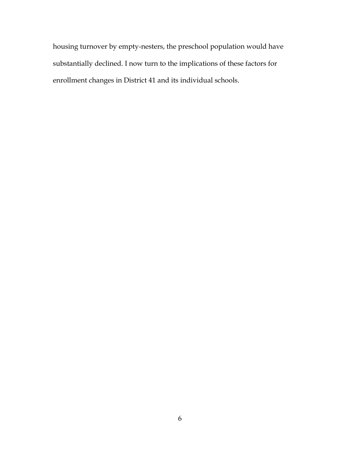housing turnover by empty-nesters, the preschool population would have substantially declined. I now turn to the implications of these factors for enrollment changes in District 41 and its individual schools.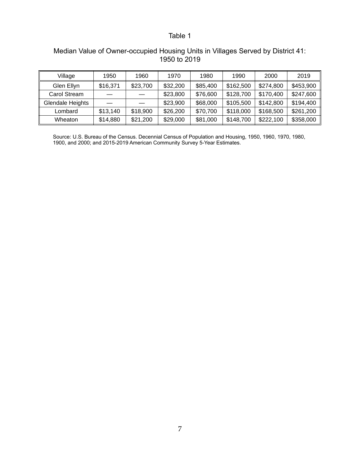### Median Value of Owner-occupied Housing Units in Villages Served by District 41: 1950 to 2019

| Village          | 1950     | 1960     | 1970     | 1980     | 1990      | 2000      | 2019      |
|------------------|----------|----------|----------|----------|-----------|-----------|-----------|
| Glen Ellyn       | \$16,371 | \$23,700 | \$32,200 | \$85,400 | \$162,500 | \$274.800 | \$453,900 |
| Carol Stream     |          |          | \$23,800 | \$76,600 | \$128,700 | \$170.400 | \$247,600 |
| Glendale Heights |          |          | \$23,900 | \$68,000 | \$105,500 | \$142,800 | \$194,400 |
| Lombard          | \$13,140 | \$18,900 | \$26,200 | \$70,700 | \$118,000 | \$168,500 | \$261,200 |
| Wheaton          | \$14,880 | \$21,200 | \$29,000 | \$81,000 | \$148.700 | \$222,100 | \$358,000 |

Source: U.S. Bureau of the Census. Decennial Census of Population and Housing, 1950, 1960, 1970, 1980, 1900, and 2000; and 2015-2019 American Community Survey 5-Year Estimates.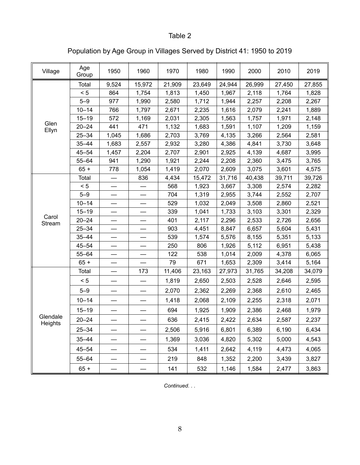Population by Age Group in Villages Served by District 41: 1950 to 2019

| Village       | Age<br>Group | 1950  | 1960   | 1970   | 1980   | 1990   | 2000   | 2010   | 2019   |
|---------------|--------------|-------|--------|--------|--------|--------|--------|--------|--------|
|               | Total        | 9,524 | 15,972 | 21,909 | 23,649 | 24,944 | 26,999 | 27,450 | 27,855 |
|               | < 5          | 864   | 1,754  | 1,813  | 1,450  | 1,967  | 2,118  | 1,764  | 1,828  |
|               | $5 - 9$      | 977   | 1,990  | 2,580  | 1,712  | 1,944  | 2,257  | 2,208  | 2,267  |
|               | $10 - 14$    | 766   | 1,797  | 2,671  | 2,235  | 1,616  | 2,079  | 2,241  | 1,889  |
|               | $15 - 19$    | 572   | 1,169  | 2,031  | 2,305  | 1,563  | 1,757  | 1,971  | 2,148  |
| Glen<br>Ellyn | $20 - 24$    | 441   | 471    | 1,132  | 1,683  | 1,591  | 1,107  | 1,209  | 1,159  |
|               | $25 - 34$    | 1,045 | 1,686  | 2,703  | 3,769  | 4,135  | 3,266  | 2,564  | 2,581  |
|               | $35 - 44$    | 1,683 | 2,557  | 2,932  | 3,280  | 4,386  | 4,841  | 3,730  | 3,648  |
|               | $45 - 54$    | 1,457 | 2,204  | 2,707  | 2,901  | 2,925  | 4,139  | 4,687  | 3,995  |
|               | $55 - 64$    | 941   | 1,290  | 1,921  | 2,244  | 2,208  | 2,360  | 3,475  | 3,765  |
|               | $65 +$       | 778   | 1,054  | 1,419  | 2,070  | 2,609  | 3,075  | 3,601  | 4,575  |
|               | Total        |       | 836    | 4,434  | 15,472 | 31,716 | 40,438 | 39,711 | 39,726 |
|               | < 5          |       |        | 568    | 1,923  | 3,667  | 3,308  | 2,574  | 2,282  |
|               | $5 - 9$      |       |        | 704    | 1,319  | 2,955  | 3,744  | 2,552  | 2,707  |
|               | $10 - 14$    |       |        | 529    | 1,032  | 2,049  | 3,508  | 2,860  | 2,521  |
| Carol         | $15 - 19$    |       |        | 339    | 1,041  | 1,733  | 3,103  | 3,301  | 2,329  |
| Stream        | $20 - 24$    |       |        | 401    | 2,117  | 2,296  | 2,533  | 2,726  | 2,656  |
|               | $25 - 34$    |       |        | 903    | 4,451  | 8,847  | 6,657  | 5,604  | 5,431  |
|               | $35 - 44$    |       | —      | 539    | 1,574  | 5,576  | 8,155  | 5,351  | 5,133  |
|               | $45 - 54$    |       |        | 250    | 806    | 1,926  | 5,112  | 6,951  | 5,438  |
|               | $55 - 64$    |       |        | 122    | 538    | 1,014  | 2,009  | 4,378  | 6,065  |
|               | $65 +$       |       |        | 79     | 671    | 1,653  | 2,309  | 3,414  | 5,164  |
|               | Total        |       | 173    | 11,406 | 23,163 | 27,973 | 31,765 | 34,208 | 34,079 |
|               | < 5          |       |        | 1,819  | 2,650  | 2,503  | 2,528  | 2,646  | 2,595  |
|               | $5 - 9$      |       |        | 2,070  | 2,362  | 2,269  | 2,368  | 2,610  | 2,465  |
|               | $10 - 14$    |       |        | 1,418  | 2,068  | 2,109  | 2,255  | 2,318  | 2,071  |
|               | $15 - 19$    |       |        | 694    | 1,925  | 1,909  | 2,386  | 2,468  | 1,979  |
| Glendale      | $20 - 24$    |       |        | 636    | 2,415  | 2,422  | 2,634  | 2,587  | 2,237  |
| Heights       | $25 - 34$    |       |        | 2,506  | 5,916  | 6,801  | 6,389  | 6,190  | 6,434  |
|               | $35 - 44$    |       |        | 1,369  | 3,036  | 4,820  | 5,302  | 5,000  | 4,543  |
|               | 45–54        |       |        | 534    | 1,411  | 2,642  | 4,119  | 4,473  | 4,065  |
|               | $55 - 64$    |       |        | 219    | 848    | 1,352  | 2,200  | 3,439  | 3,827  |
|               | $65 +$       |       |        | 141    | 532    | 1,146  | 1,584  | 2,477  | 3,863  |

*Continued. . .*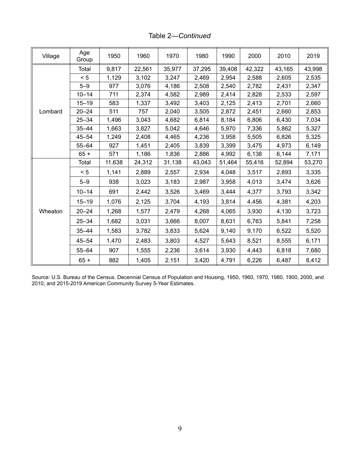Table 2*—Continued*

| Village | Age<br>Group | 1950   | 1960   | 1970   | 1980   | 1990   | 2000   | 2010   | 2019   |
|---------|--------------|--------|--------|--------|--------|--------|--------|--------|--------|
|         | Total        | 9,817  | 22,561 | 35,977 | 37,295 | 39,408 | 42,322 | 43,165 | 43,998 |
|         | < 5          | 1,129  | 3,102  | 3,247  | 2,469  | 2,954  | 2,588  | 2,605  | 2,535  |
|         | $5 - 9$      | 977    | 3,076  | 4,186  | 2,508  | 2,540  | 2,782  | 2,431  | 2,347  |
|         | $10 - 14$    | 711    | 2,374  | 4,582  | 2,989  | 2,414  | 2,828  | 2,533  | 2,597  |
|         | $15 - 19$    | 583    | 1,337  | 3,492  | 3,403  | 2,125  | 2,413  | 2,701  | 2,660  |
| Lombard | $20 - 24$    | 511    | 757    | 2,040  | 3,505  | 2,872  | 2,451  | 2,660  | 2,853  |
|         | $25 - 34$    | 1,496  | 3,043  | 4,682  | 6,814  | 8,184  | 6,806  | 6,430  | 7,034  |
|         | $35 - 44$    | 1,663  | 3,827  | 5,042  | 4,646  | 5,970  | 7,336  | 5,862  | 5,327  |
|         | $45 - 54$    | 1,249  | 2,408  | 4,465  | 4,236  | 3,958  | 5,505  | 6,826  | 5,325  |
|         | $55 - 64$    | 927    | 1,451  | 2,405  | 3,839  | 3,399  | 3,475  | 4,973  | 6,149  |
|         | $65 +$       | 571    | 1,186  | 1,836  | 2,886  | 4,992  | 6,138  | 6,144  | 7,171  |
|         | Total        | 11,638 | 24,312 | 31,138 | 43,043 | 51,464 | 55,416 | 52,894 | 53,270 |
|         | < 5          | 1,141  | 2,889  | 2,557  | 2,934  | 4,048  | 3,517  | 2,893  | 3,335  |
|         | $5 - 9$      | 938    | 3,023  | 3,183  | 2,987  | 3,958  | 4,013  | 3,474  | 3,626  |
|         | $10 - 14$    | 691    | 2,442  | 3,526  | 3,469  | 3,444  | 4,377  | 3,793  | 3,342  |
|         | $15 - 19$    | 1,076  | 2,125  | 3,704  | 4,193  | 3,814  | 4,456  | 4,381  | 4,203  |
| Wheaton | $20 - 24$    | 1,268  | 1,577  | 2,479  | 4,268  | 4,065  | 3,930  | 4,130  | 3,723  |
|         | $25 - 34$    | 1,682  | 3,031  | 3,666  | 8,007  | 8,631  | 6,763  | 5,841  | 7,258  |
|         | $35 - 44$    | 1,583  | 3,782  | 3,833  | 5,624  | 9,140  | 9,170  | 6,522  | 5,520  |
|         | $45 - 54$    | 1,470  | 2,483  | 3,803  | 4,527  | 5,643  | 8,521  | 8,555  | 6,171  |
|         | $55 - 64$    | 907    | 1,555  | 2,236  | 3,614  | 3,930  | 4,443  | 6,818  | 7,680  |
|         | $65 +$       | 882    | 1,405  | 2,151  | 3,420  | 4,791  | 6,226  | 6,487  | 8,412  |

Source: U.S. Bureau of the Census. Decennial Census of Population and Housing, 1950, 1960, 1970, 1980, 1900, 2000, and 2010; and 2015-2019 American Community Survey 5-Year Estimates.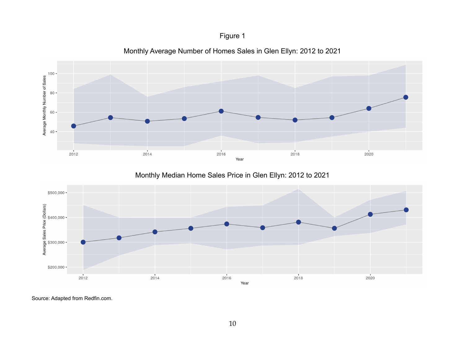### Figure 1



Monthly Average Number of Homes Sales in Glen Ellyn: 2012 to 2021

Monthly Median Home Sales Price in Glen Ellyn: 2012 to 2021



Source: Adapted from Redfin.com.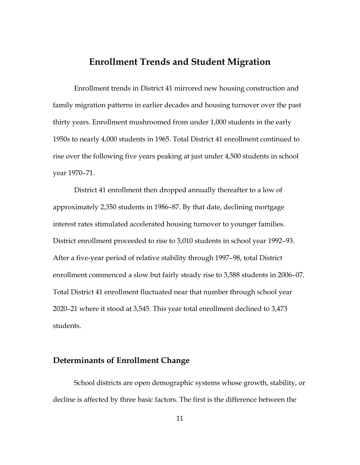### **Enrollment Trends and Student Migration**

Enrollment trends in District 41 mirrored new housing construction and family migration patterns in earlier decades and housing turnover over the past thirty years. Enrollment mushroomed from under 1,000 students in the early 1950s to nearly 4,000 students in 1965. Total District 41 enrollment continued to rise over the following five years peaking at just under 4,500 students in school year 1970–71.

District 41 enrollment then dropped annually thereafter to a low of approximately 2,350 students in 1986–87. By that date, declining mortgage interest rates stimulated accelerated housing turnover to younger families. District enrollment proceeded to rise to 3,010 students in school year 1992–93. After a five-year period of relative stability through 1997–98, total District enrollment commenced a slow but fairly steady rise to 3,588 students in 2006–07. Total District 41 enrollment fluctuated near that number through school year 2020–21 where it stood at 3,545. This year total enrollment declined to 3,473 students.

### **Determinants of Enrollment Change**

School districts are open demographic systems whose growth, stability, or decline is affected by three basic factors. The first is the difference between the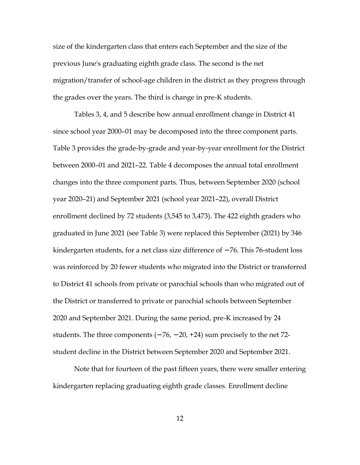size of the kindergarten class that enters each September and the size of the previous June's graduating eighth grade class. The second is the net migration/transfer of school-age children in the district as they progress through the grades over the years. The third is change in pre-K students.

Tables 3, 4, and 5 describe how annual enrollment change in District 41 since school year 2000–01 may be decomposed into the three component parts. Table 3 provides the grade-by-grade and year-by-year enrollment for the District between 2000–01 and 2021–22. Table 4 decomposes the annual total enrollment changes into the three component parts. Thus, between September 2020 (school year 2020–21) and September 2021 (school year 2021–22), overall District enrollment declined by 72 students (3,545 to 3,473). The 422 eighth graders who graduated in June 2021 (see Table 3) were replaced this September (2021) by 346 kindergarten students, for a net class size difference of −76. This 76-student loss was reinforced by 20 fewer students who migrated into the District or transferred to District 41 schools from private or parochial schools than who migrated out of the District or transferred to private or parochial schools between September 2020 and September 2021. During the same period, pre-K increased by 24 students. The three components  $(-76, -20, +24)$  sum precisely to the net 72student decline in the District between September 2020 and September 2021.

Note that for fourteen of the past fifteen years, there were smaller entering kindergarten replacing graduating eighth grade classes. Enrollment decline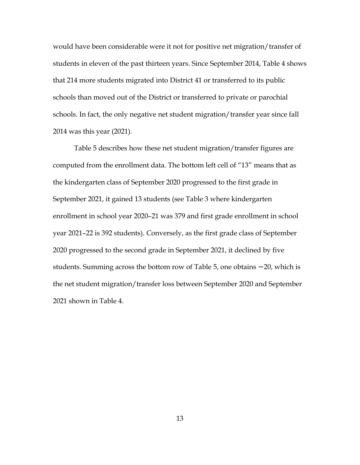would have been considerable were it not for positive net migration/transfer of students in eleven of the past thirteen years. Since September 2014, Table 4 shows that 214 more students migrated into District 41 or transferred to its public schools than moved out of the District or transferred to private or parochial schools. In fact, the only negative net student migration/transfer year since fall 2014 was this year (2021).

Table 5 describes how these net student migration/transfer figures are computed from the enrollment data. The bottom left cell of "13" means that as the kindergarten class of September 2020 progressed to the first grade in September 2021, it gained 13 students (see Table 3 where kindergarten enrollment in school year 2020–21 was 379 and first grade enrollment in school year 2021–22 is 392 students). Conversely, as the first grade class of September 2020 progressed to the second grade in September 2021, it declined by five students. Summing across the bottom row of Table 5, one obtains −20, which is the net student migration/transfer loss between September 2020 and September 2021 shown in Table 4.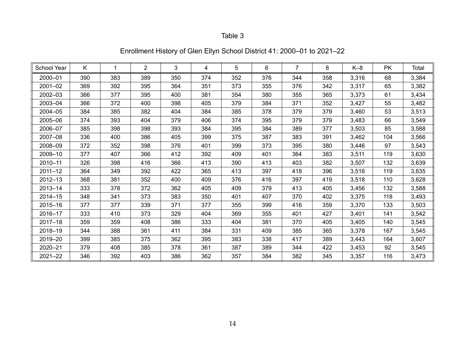| Enrollment History of Glen Ellyn School District 41: 2000–01 to 2021–22 |  |  |  |  |
|-------------------------------------------------------------------------|--|--|--|--|
|-------------------------------------------------------------------------|--|--|--|--|

| School Year | K   | 1   | $\overline{2}$ | 3   | 4   | 5   | 6   | $\overline{7}$ | 8   | $K-8$ | <b>PK</b> | Total |
|-------------|-----|-----|----------------|-----|-----|-----|-----|----------------|-----|-------|-----------|-------|
| 2000-01     | 390 | 383 | 389            | 350 | 374 | 352 | 376 | 344            | 358 | 3,316 | 68        | 3,384 |
| 2001-02     | 369 | 392 | 395            | 364 | 351 | 373 | 355 | 376            | 342 | 3,317 | 65        | 3,382 |
| 2002-03     | 366 | 377 | 395            | 400 | 381 | 354 | 380 | 355            | 365 | 3,373 | 61        | 3,434 |
| 2003-04     | 366 | 372 | 400            | 398 | 405 | 379 | 384 | 371            | 352 | 3,427 | 55        | 3,482 |
| 2004-05     | 384 | 385 | 382            | 404 | 384 | 385 | 378 | 379            | 379 | 3,460 | 53        | 3,513 |
| 2005-06     | 374 | 393 | 404            | 379 | 406 | 374 | 395 | 379            | 379 | 3,483 | 66        | 3,549 |
| 2006-07     | 385 | 398 | 398            | 393 | 384 | 395 | 384 | 389            | 377 | 3,503 | 85        | 3,588 |
| 2007-08     | 336 | 400 | 386            | 405 | 399 | 375 | 387 | 383            | 391 | 3,462 | 104       | 3,566 |
| 2008-09     | 372 | 352 | 398            | 376 | 401 | 399 | 373 | 395            | 380 | 3,446 | 97        | 3,543 |
| 2009-10     | 377 | 407 | 366            | 412 | 392 | 409 | 401 | 364            | 383 | 3,511 | 119       | 3,630 |
| 2010-11     | 326 | 398 | 416            | 366 | 413 | 390 | 413 | 403            | 382 | 3,507 | 132       | 3,639 |
| $2011 - 12$ | 364 | 349 | 392            | 422 | 365 | 413 | 397 | 418            | 396 | 3,516 | 119       | 3,635 |
| 2012-13     | 368 | 381 | 352            | 400 | 409 | 376 | 416 | 397            | 419 | 3,518 | 110       | 3,628 |
| 2013-14     | 333 | 378 | 372            | 362 | 405 | 409 | 379 | 413            | 405 | 3,456 | 132       | 3,588 |
| $2014 - 15$ | 348 | 341 | 373            | 383 | 350 | 401 | 407 | 370            | 402 | 3,375 | 118       | 3,493 |
| 2015-16     | 377 | 377 | 339            | 371 | 377 | 355 | 399 | 416            | 359 | 3,370 | 133       | 3,503 |
| 2016-17     | 333 | 410 | 373            | 329 | 404 | 369 | 355 | 401            | 427 | 3,401 | 141       | 3,542 |
| $2017 - 18$ | 359 | 359 | 408            | 386 | 333 | 404 | 381 | 370            | 405 | 3,405 | 140       | 3,545 |
| 2018-19     | 344 | 388 | 361            | 411 | 384 | 331 | 409 | 385            | 365 | 3,378 | 167       | 3,545 |
| 2019-20     | 399 | 385 | 375            | 362 | 395 | 383 | 338 | 417            | 389 | 3,443 | 164       | 3,607 |
| 2020-21     | 379 | 408 | 385            | 378 | 361 | 387 | 389 | 344            | 422 | 3,453 | 92        | 3,545 |
| $2021 - 22$ | 346 | 392 | 403            | 386 | 362 | 357 | 384 | 382            | 345 | 3,357 | 116       | 3,473 |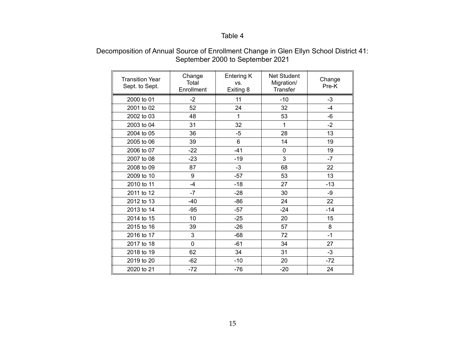| <b>Transition Year</b> | Change<br>Total | Entering K<br>VS. | <b>Net Student</b><br>Migration/ | Change |
|------------------------|-----------------|-------------------|----------------------------------|--------|
| Sept. to Sept.         | Enrollment      | Exiting 8         | Transfer                         | Pre-K  |
| 2000 to 01             | $-2$            | 11                | $-10$                            | $-3$   |
| 2001 to 02             | 52              | 24                | 32                               | $-4$   |
| 2002 to 03             | 48              | 1                 | 53                               | -6     |
| 2003 to 04             | 31              | 32                | 1                                | $-2$   |
| 2004 to 05             | 36              | -5                | 28                               | 13     |
| 2005 to 06             | 39              | 6                 | 14                               | 19     |
| 2006 to 07             | $-22$           | $-41$             | 0                                | 19     |
| 2007 to 08             | $-23$           | $-19$             | 3                                | $-7$   |
| 2008 to 09             | 87              | $-3$              | 68                               | 22     |
| 2009 to 10             | 9               | $-57$             | 53                               | 13     |
| 2010 to 11             | $-4$            | $-18$             | 27                               | $-13$  |
| 2011 to 12             | $-7$            | $-28$             | 30                               | $-9$   |
| 2012 to 13             | $-40$           | $-86$             | 24                               | 22     |
| 2013 to 14             | $-95$           | $-57$             | $-24$                            | $-14$  |
| 2014 to 15             | 10              | $-25$             | 20                               | 15     |
| 2015 to 16             | 39              | $-26$             | 57                               | 8      |
| 2016 to 17             | 3               | $-68$             | 72                               | $-1$   |
| 2017 to 18             | $\overline{0}$  | $-61$             | 34                               | 27     |
| 2018 to 19             | 62              | 34                | 31                               | $-3$   |
| 2019 to 20             | $-62$           | $-10$             | 20                               | $-72$  |
| 2020 to 21             | $-72$           | $-76$             | $-20$                            | 24     |

### Decomposition of Annual Source of Enrollment Change in Glen Ellyn School District 41: September 2000 to September 2021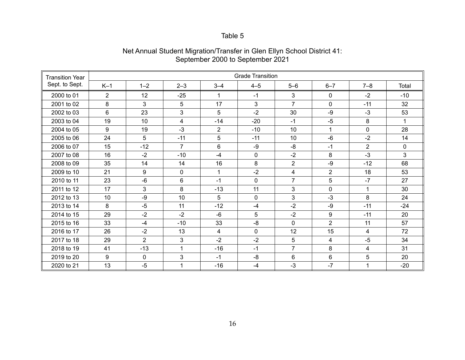| <b>Transition Year</b> |                |                  |                         |                | <b>Grade Transition</b> |                |                |                |             |
|------------------------|----------------|------------------|-------------------------|----------------|-------------------------|----------------|----------------|----------------|-------------|
| Sept. to Sept.         | $K-1$          | $1 - 2$          | $2 - 3$                 | $3 - 4$        | $4 - 5$                 | $5-6$          | $6 - 7$        | $7 - 8$        | Total       |
| 2000 to 01             | $\overline{2}$ | 12               | $-25$                   | 1              | $-1$                    | 3              | $\Omega$       | $-2$           | $-10$       |
| 2001 to 02             | 8              | 3                | 5                       | 17             | 3                       | $\overline{7}$ | $\mathbf{0}$   | $-11$          | 32          |
| 2002 to 03             | 6              | 23               | 3                       | 5              | $-2$                    | 30             | -9             | $-3$           | 53          |
| 2003 to 04             | 19             | 10               | $\overline{\mathbf{4}}$ | $-14$          | $-20$                   | $-1$           | $-5$           | 8              | 1           |
| 2004 to 05             | 9              | 19               | $-3$                    | $\overline{2}$ | $-10$                   | 10             | 1              | $\mathbf 0$    | 28          |
| 2005 to 06             | 24             | 5                | $-11$                   | 5              | $-11$                   | 10             | $-6$           | $-2$           | 14          |
| 2006 to 07             | 15             | $-12$            | $\overline{7}$          | 6              | $-9$                    | -8             | $-1$           | $\overline{2}$ | $\mathbf 0$ |
| 2007 to 08             | 16             | $-2$             | $-10$                   | $-4$           | 0                       | $-2$           | 8              | $-3$           | 3           |
| 2008 to 09             | 35             | 14               | 14                      | 16             | 8                       | $\overline{2}$ | -9             | $-12$          | 68          |
| 2009 to 10             | 21             | $\boldsymbol{9}$ | $\mathbf{0}$            | 1              | $-2$                    | 4              | $\overline{2}$ | 18             | 53          |
| 2010 to 11             | 23             | $-6$             | 6                       | $-1$           | 0                       | $\overline{7}$ | 5              | $-7$           | 27          |
| 2011 to 12             | 17             | 3                | 8                       | $-13$          | 11                      | 3              | $\mathbf 0$    | 1              | 30          |
| 2012 to 13             | 10             | $-9$             | 10                      | 5              | 0                       | 3              | $-3$           | 8              | 24          |
| 2013 to 14             | 8              | $-5$             | 11                      | $-12$          | $-4$                    | $-2$           | -9             | $-11$          | $-24$       |
| 2014 to 15             | 29             | $-2$             | $-2$                    | -6             | 5                       | $-2$           | 9              | $-11$          | 20          |
| 2015 to 16             | 33             | $-4$             | $-10$                   | 33             | $-8$                    | $\mathbf{0}$   | $\overline{2}$ | 11             | 57          |
| 2016 to 17             | 26             | $-2$             | 13                      | 4              | 0                       | 12             | 15             | 4              | 72          |
| 2017 to 18             | 29             | $\overline{2}$   | 3                       | $-2$           | $-2$                    | 5              | 4              | $-5$           | 34          |
| 2018 to 19             | 41             | $-13$            | 1                       | $-16$          | $-1$                    | $\overline{7}$ | 8              | 4              | 31          |
| 2019 to 20             | 9              | $\mathbf 0$      | 3                       | $-1$           | -8                      | 6              | $6\phantom{1}$ | 5              | 20          |
| 2020 to 21             | 13             | $-5$             | 1                       | $-16$          | $-4$                    | $-3$           | $-7$           | 1              | $-20$       |

### Net Annual Student Migration/Transfer in Glen Ellyn School District 41: September 2000 to September 2021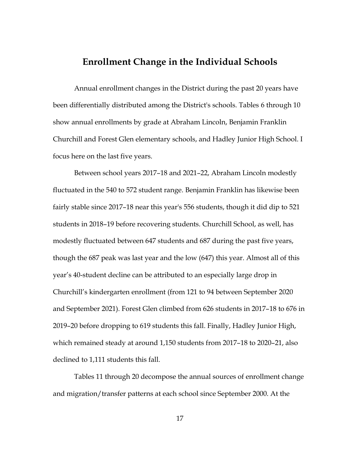### **Enrollment Change in the Individual Schools**

Annual enrollment changes in the District during the past 20 years have been differentially distributed among the District's schools. Tables 6 through 10 show annual enrollments by grade at Abraham Lincoln, Benjamin Franklin Churchill and Forest Glen elementary schools, and Hadley Junior High School. I focus here on the last five years.

Between school years 2017–18 and 2021–22, Abraham Lincoln modestly fluctuated in the 540 to 572 student range. Benjamin Franklin has likewise been fairly stable since 2017–18 near this year's 556 students, though it did dip to 521 students in 2018–19 before recovering students. Churchill School, as well, has modestly fluctuated between 647 students and 687 during the past five years, though the 687 peak was last year and the low (647) this year. Almost all of this year's 40-student decline can be attributed to an especially large drop in Churchill's kindergarten enrollment (from 121 to 94 between September 2020 and September 2021). Forest Glen climbed from 626 students in 2017–18 to 676 in 2019–20 before dropping to 619 students this fall. Finally, Hadley Junior High, which remained steady at around 1,150 students from 2017–18 to 2020–21, also declined to 1,111 students this fall.

Tables 11 through 20 decompose the annual sources of enrollment change and migration/transfer patterns at each school since September 2000. At the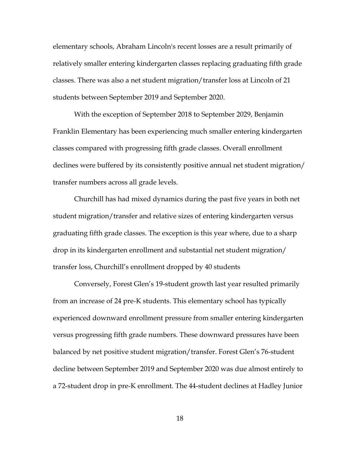elementary schools, Abraham Lincoln's recent losses are a result primarily of relatively smaller entering kindergarten classes replacing graduating fifth grade classes. There was also a net student migration/transfer loss at Lincoln of 21 students between September 2019 and September 2020.

With the exception of September 2018 to September 2029, Benjamin Franklin Elementary has been experiencing much smaller entering kindergarten classes compared with progressing fifth grade classes. Overall enrollment declines were buffered by its consistently positive annual net student migration/ transfer numbers across all grade levels.

Churchill has had mixed dynamics during the past five years in both net student migration/transfer and relative sizes of entering kindergarten versus graduating fifth grade classes. The exception is this year where, due to a sharp drop in its kindergarten enrollment and substantial net student migration/ transfer loss, Churchill's enrollment dropped by 40 students

Conversely, Forest Glen's 19-student growth last year resulted primarily from an increase of 24 pre-K students. This elementary school has typically experienced downward enrollment pressure from smaller entering kindergarten versus progressing fifth grade numbers. These downward pressures have been balanced by net positive student migration/transfer. Forest Glen's 76-student decline between September 2019 and September 2020 was due almost entirely to a 72-student drop in pre-K enrollment. The 44-student declines at Hadley Junior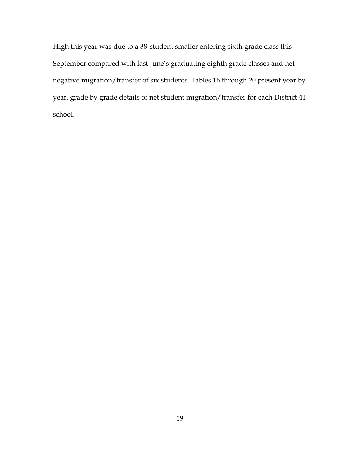High this year was due to a 38-student smaller entering sixth grade class this September compared with last June's graduating eighth grade classes and net negative migration/transfer of six students. Tables 16 through 20 present year by year, grade by grade details of net student migration/transfer for each District 41 school.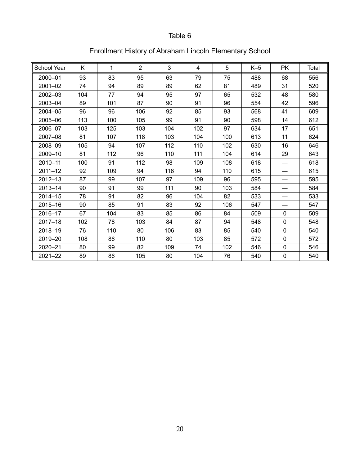| School Year | K   | $\mathbf{1}$ | $\overline{2}$ | 3   | 4   | 5   | $K-5$ | <b>PK</b>    | Total |
|-------------|-----|--------------|----------------|-----|-----|-----|-------|--------------|-------|
| 2000-01     | 93  | 83           | 95             | 63  | 79  | 75  | 488   | 68           | 556   |
| 2001-02     | 74  | 94           | 89             | 89  | 62  | 81  | 489   | 31           | 520   |
| 2002-03     | 104 | 77           | 94             | 95  | 97  | 65  | 532   | 48           | 580   |
| 2003-04     | 89  | 101          | 87             | 90  | 91  | 96  | 554   | 42           | 596   |
| 2004-05     | 96  | 96           | 106            | 92  | 85  | 93  | 568   | 41           | 609   |
| 2005-06     | 113 | 100          | 105            | 99  | 91  | 90  | 598   | 14           | 612   |
| 2006-07     | 103 | 125          | 103            | 104 | 102 | 97  | 634   | 17           | 651   |
| 2007-08     | 81  | 107          | 118            | 103 | 104 | 100 | 613   | 11           | 624   |
| 2008-09     | 105 | 94           | 107            | 112 | 110 | 102 | 630   | 16           | 646   |
| 2009-10     | 81  | 112          | 96             | 110 | 111 | 104 | 614   | 29           | 643   |
| 2010-11     | 100 | 91           | 112            | 98  | 109 | 108 | 618   |              | 618   |
| $2011 - 12$ | 92  | 109          | 94             | 116 | 94  | 110 | 615   |              | 615   |
| 2012-13     | 87  | 99           | 107            | 97  | 109 | 96  | 595   |              | 595   |
| 2013-14     | 90  | 91           | 99             | 111 | 90  | 103 | 584   |              | 584   |
| 2014-15     | 78  | 91           | 82             | 96  | 104 | 82  | 533   |              | 533   |
| 2015-16     | 90  | 85           | 91             | 83  | 92  | 106 | 547   |              | 547   |
| 2016-17     | 67  | 104          | 83             | 85  | 86  | 84  | 509   | $\mathbf{0}$ | 509   |
| $2017 - 18$ | 102 | 78           | 103            | 84  | 87  | 94  | 548   | $\mathbf 0$  | 548   |
| 2018-19     | 76  | 110          | 80             | 106 | 83  | 85  | 540   | $\mathbf 0$  | 540   |
| 2019-20     | 108 | 86           | 110            | 80  | 103 | 85  | 572   | 0            | 572   |
| 2020-21     | 80  | 99           | 82             | 109 | 74  | 102 | 546   | $\mathbf 0$  | 546   |
| $2021 - 22$ | 89  | 86           | 105            | 80  | 104 | 76  | 540   | $\pmb{0}$    | 540   |

# Enrollment History of Abraham Lincoln Elementary School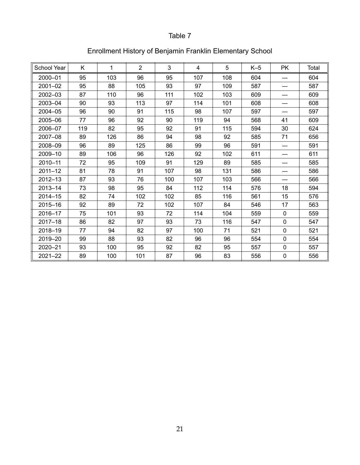| School Year | Κ   | $\mathbf{1}$ | $\overline{2}$ | 3   | 4   | 5   | $K-5$ | <b>PK</b>   | Total |
|-------------|-----|--------------|----------------|-----|-----|-----|-------|-------------|-------|
| 2000-01     | 95  | 103          | 96             | 95  | 107 | 108 | 604   |             | 604   |
| 2001-02     | 95  | 88           | 105            | 93  | 97  | 109 | 587   |             | 587   |
| 2002-03     | 87  | 110          | 96             | 111 | 102 | 103 | 609   |             | 609   |
| 2003-04     | 90  | 93           | 113            | 97  | 114 | 101 | 608   |             | 608   |
| 2004-05     | 96  | 90           | 91             | 115 | 98  | 107 | 597   |             | 597   |
| 2005-06     | 77  | 96           | 92             | 90  | 119 | 94  | 568   | 41          | 609   |
| 2006-07     | 119 | 82           | 95             | 92  | 91  | 115 | 594   | 30          | 624   |
| 2007-08     | 89  | 126          | 86             | 94  | 98  | 92  | 585   | 71          | 656   |
| 2008-09     | 96  | 89           | 125            | 86  | 99  | 96  | 591   |             | 591   |
| 2009-10     | 89  | 106          | 96             | 126 | 92  | 102 | 611   |             | 611   |
| 2010-11     | 72  | 95           | 109            | 91  | 129 | 89  | 585   |             | 585   |
| $2011 - 12$ | 81  | 78           | 91             | 107 | 98  | 131 | 586   | —           | 586   |
| 2012-13     | 87  | 93           | 76             | 100 | 107 | 103 | 566   |             | 566   |
| 2013-14     | 73  | 98           | 95             | 84  | 112 | 114 | 576   | 18          | 594   |
| 2014-15     | 82  | 74           | 102            | 102 | 85  | 116 | 561   | 15          | 576   |
| 2015-16     | 92  | 89           | 72             | 102 | 107 | 84  | 546   | 17          | 563   |
| 2016-17     | 75  | 101          | 93             | 72  | 114 | 104 | 559   | $\mathbf 0$ | 559   |
| 2017-18     | 86  | 82           | 97             | 93  | 73  | 116 | 547   | $\mathbf 0$ | 547   |
| 2018-19     | 77  | 94           | 82             | 97  | 100 | 71  | 521   | 0           | 521   |
| 2019-20     | 99  | 88           | 93             | 82  | 96  | 96  | 554   | 0           | 554   |
| 2020-21     | 93  | 100          | 95             | 92  | 82  | 95  | 557   | $\mathbf 0$ | 557   |
| 2021-22     | 89  | 100          | 101            | 87  | 96  | 83  | 556   | $\mathbf 0$ | 556   |

# Enrollment History of Benjamin Franklin Elementary School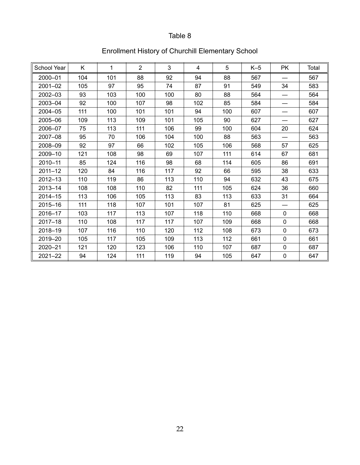| <b>School Year</b> | K   | $\mathbf{1}$ | $\overline{2}$ | 3   | 4   | 5   | $K-5$ | <b>PK</b>   | Total |
|--------------------|-----|--------------|----------------|-----|-----|-----|-------|-------------|-------|
| 2000-01            | 104 | 101          | 88             | 92  | 94  | 88  | 567   |             | 567   |
| 2001-02            | 105 | 97           | 95             | 74  | 87  | 91  | 549   | 34          | 583   |
| 2002-03            | 93  | 103          | 100            | 100 | 80  | 88  | 564   |             | 564   |
| 2003-04            | 92  | 100          | 107            | 98  | 102 | 85  | 584   |             | 584   |
| 2004-05            | 111 | 100          | 101            | 101 | 94  | 100 | 607   |             | 607   |
| 2005-06            | 109 | 113          | 109            | 101 | 105 | 90  | 627   | —           | 627   |
| 2006-07            | 75  | 113          | 111            | 106 | 99  | 100 | 604   | 20          | 624   |
| 2007-08            | 95  | 70           | 106            | 104 | 100 | 88  | 563   |             | 563   |
| 2008-09            | 92  | 97           | 66             | 102 | 105 | 106 | 568   | 57          | 625   |
| 2009-10            | 121 | 108          | 98             | 69  | 107 | 111 | 614   | 67          | 681   |
| 2010-11            | 85  | 124          | 116            | 98  | 68  | 114 | 605   | 86          | 691   |
| $2011 - 12$        | 120 | 84           | 116            | 117 | 92  | 66  | 595   | 38          | 633   |
| 2012-13            | 110 | 119          | 86             | 113 | 110 | 94  | 632   | 43          | 675   |
| 2013-14            | 108 | 108          | 110            | 82  | 111 | 105 | 624   | 36          | 660   |
| 2014-15            | 113 | 106          | 105            | 113 | 83  | 113 | 633   | 31          | 664   |
| 2015-16            | 111 | 118          | 107            | 101 | 107 | 81  | 625   |             | 625   |
| 2016-17            | 103 | 117          | 113            | 107 | 118 | 110 | 668   | 0           | 668   |
| $2017 - 18$        | 110 | 108          | 117            | 117 | 107 | 109 | 668   | $\mathbf 0$ | 668   |
| 2018-19            | 107 | 116          | 110            | 120 | 112 | 108 | 673   | 0           | 673   |
| 2019-20            | 105 | 117          | 105            | 109 | 113 | 112 | 661   | $\mathbf 0$ | 661   |
| 2020-21            | 121 | 120          | 123            | 106 | 110 | 107 | 687   | $\pmb{0}$   | 687   |
| $2021 - 22$        | 94  | 124          | 111            | 119 | 94  | 105 | 647   | $\pmb{0}$   | 647   |

# Enrollment History of Churchill Elementary School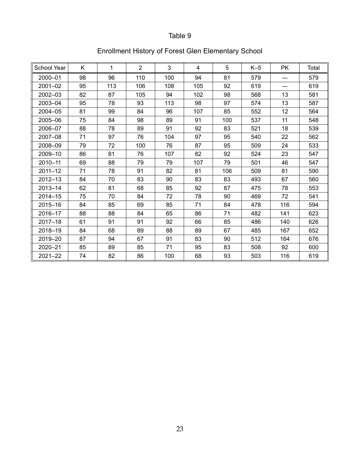| School Year | K  | 1   | $\overline{2}$ | 3   | 4   | 5   | $K-5$ | <b>PK</b> | Total |
|-------------|----|-----|----------------|-----|-----|-----|-------|-----------|-------|
| 2000-01     | 98 | 96  | 110            | 100 | 94  | 81  | 579   |           | 579   |
| 2001-02     | 95 | 113 | 106            | 108 | 105 | 92  | 619   | —         | 619   |
| 2002-03     | 82 | 87  | 105            | 94  | 102 | 98  | 568   | 13        | 581   |
| 2003-04     | 95 | 78  | 93             | 113 | 98  | 97  | 574   | 13        | 587   |
| 2004-05     | 81 | 99  | 84             | 96  | 107 | 85  | 552   | 12        | 564   |
| 2005-06     | 75 | 84  | 98             | 89  | 91  | 100 | 537   | 11        | 548   |
| 2006-07     | 88 | 78  | 89             | 91  | 92  | 83  | 521   | 18        | 539   |
| 2007-08     | 71 | 97  | 76             | 104 | 97  | 95  | 540   | 22        | 562   |
| 2008-09     | 79 | 72  | 100            | 76  | 87  | 95  | 509   | 24        | 533   |
| 2009-10     | 86 | 81  | 76             | 107 | 82  | 92  | 524   | 23        | 547   |
| 2010-11     | 69 | 88  | 79             | 79  | 107 | 79  | 501   | 46        | 547   |
| $2011 - 12$ | 71 | 78  | 91             | 82  | 81  | 106 | 509   | 81        | 590   |
| 2012-13     | 84 | 70  | 83             | 90  | 83  | 83  | 493   | 67        | 560   |
| 2013-14     | 62 | 81  | 68             | 85  | 92  | 87  | 475   | 78        | 553   |
| $2014 - 15$ | 75 | 70  | 84             | 72  | 78  | 90  | 469   | 72        | 541   |
| 2015-16     | 84 | 85  | 69             | 85  | 71  | 84  | 478   | 116       | 594   |
| 2016-17     | 88 | 88  | 84             | 65  | 86  | 71  | 482   | 141       | 623   |
| $2017 - 18$ | 61 | 91  | 91             | 92  | 66  | 85  | 486   | 140       | 626   |
| 2018-19     | 84 | 68  | 89             | 88  | 89  | 67  | 485   | 167       | 652   |
| 2019-20     | 87 | 94  | 67             | 91  | 83  | 90  | 512   | 164       | 676   |
| 2020-21     | 85 | 89  | 85             | 71  | 95  | 83  | 508   | 92        | 600   |
| $2021 - 22$ | 74 | 82  | 86             | 100 | 68  | 93  | 503   | 116       | 619   |

# Enrollment History of Forest Glen Elementary School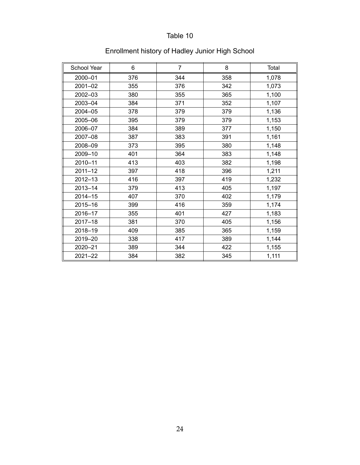| <b>School Year</b> | 6   | $\overline{7}$ | 8   | Total |
|--------------------|-----|----------------|-----|-------|
| 2000-01            | 376 | 344            | 358 | 1,078 |
| 2001-02            | 355 | 376            | 342 | 1,073 |
| 2002-03            | 380 | 355            | 365 | 1,100 |
| 2003-04            | 384 | 371            | 352 | 1,107 |
| 2004-05            | 378 | 379            | 379 | 1,136 |
| 2005-06            | 395 | 379            | 379 | 1,153 |
| 2006-07            | 384 | 389            | 377 | 1,150 |
| 2007-08            | 387 | 383            | 391 | 1,161 |
| 2008-09            | 373 | 395            | 380 | 1,148 |
| 2009-10            | 401 | 364            | 383 | 1,148 |
| 2010-11            | 413 | 403            | 382 | 1,198 |
| $2011 - 12$        | 397 | 418            | 396 | 1,211 |
| 2012-13            | 416 | 397            | 419 | 1,232 |
| 2013-14            | 379 | 413            | 405 | 1,197 |
| $2014 - 15$        | 407 | 370            | 402 | 1,179 |
| 2015-16            | 399 | 416            | 359 | 1,174 |
| 2016-17            | 355 | 401            | 427 | 1,183 |
| $2017 - 18$        | 381 | 370            | 405 | 1,156 |
| 2018-19            | 409 | 385            | 365 | 1,159 |
| 2019-20            | 338 | 417            | 389 | 1,144 |
| 2020-21            | 389 | 344            | 422 | 1,155 |
| 2021-22            | 384 | 382            | 345 | 1,111 |

# Enrollment history of Hadley Junior High School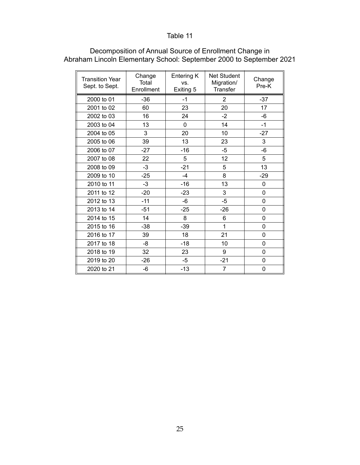| <b>Transition Year</b><br>Sept. to Sept. | Change<br>Total<br>Enrollment | Entering K<br>VS.<br>Exiting 5 | Net Student<br>Migration/<br><b>Transfer</b> | Change<br>Pre-K |
|------------------------------------------|-------------------------------|--------------------------------|----------------------------------------------|-----------------|
| 2000 to 01                               | $-36$                         | $-1$                           | $\overline{2}$                               | $-37$           |
| 2001 to 02                               | 60                            | 23                             | 20                                           | 17              |
| 2002 to 03                               | 16                            | 24                             | $-2$                                         | $-6$            |
| 2003 to 04                               | 13                            | 0                              | 14                                           | $-1$            |
| 2004 to 05                               | 3                             | 20                             | 10                                           | $-27$           |
| 2005 to 06                               | 39                            | 13                             | 23                                           | 3               |
| 2006 to 07                               | $-27$                         | $-16$                          | $-5$                                         | -6              |
| 2007 to 08                               | 22                            | 5                              | 12                                           | 5               |
| 2008 to 09                               | $-3$                          | $-21$                          | 5                                            | 13              |
| 2009 to 10                               | $-25$                         | $-4$                           | 8                                            | $-29$           |
| 2010 to 11                               | $-3$                          | $-16$                          | 13                                           | 0               |
| 2011 to 12                               | $-20$                         | $-23$                          | 3                                            | 0               |
| 2012 to 13                               | $-11$                         | -6                             | $-5$                                         | 0               |
| 2013 to 14                               | $-51$                         | $-25$                          | $-26$                                        | 0               |
| 2014 to 15                               | 14                            | 8                              | 6                                            | 0               |
| 2015 to 16                               | $-38$                         | $-39$                          | 1                                            | 0               |
| 2016 to 17                               | 39                            | 18                             | 21                                           | 0               |
| 2017 to 18                               | -8                            | $-18$                          | 10                                           | 0               |
| 2018 to 19                               | 32                            | 23                             | 9                                            | 0               |
| 2019 to 20                               | $-26$                         | -5                             | $-21$                                        | 0               |
| 2020 to 21                               | -6                            | $-13$                          | 7                                            | 0               |

### Decomposition of Annual Source of Enrollment Change in Abraham Lincoln Elementary School: September 2000 to September 2021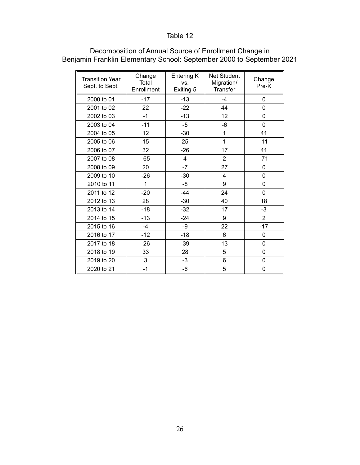| <b>Transition Year</b><br>Sept. to Sept. | Change<br>Total<br>Enrollment | Entering K<br>VS.<br>Exiting 5 | Net Student<br>Migration/<br>Transfer | Change<br>Pre-K |
|------------------------------------------|-------------------------------|--------------------------------|---------------------------------------|-----------------|
| 2000 to 01                               | $-17$                         | $-13$                          | $-4$                                  | 0               |
| 2001 to 02                               | 22                            | $-22$                          | 44                                    | 0               |
| 2002 to 03                               | $-1$                          | $-13$                          | 12                                    | 0               |
| 2003 to 04                               | $-11$                         | -5                             | -6                                    | 0               |
| 2004 to 05                               | 12                            | $-30$                          | 1                                     | 41              |
| 2005 to 06                               | 15                            | 25                             | 1                                     | $-11$           |
| 2006 to 07                               | 32                            | $-26$                          | 17                                    | 41              |
| 2007 to 08                               | $-65$                         | 4                              | $\overline{2}$                        | $-71$           |
| 2008 to 09                               | 20                            | $-7$                           | 27                                    | 0               |
| 2009 to 10                               | $-26$                         | $-30$                          | 4                                     | 0               |
| 2010 to 11                               | 1                             | -8                             | 9                                     | 0               |
| 2011 to 12                               | $-20$                         | $-44$                          | 24                                    | 0               |
| 2012 to 13                               | 28                            | $-30$                          | 40                                    | 18              |
| 2013 to 14                               | $-18$                         | $-32$                          | 17                                    | -3              |
| 2014 to 15                               | $-13$                         | $-24$                          | 9                                     | $\overline{2}$  |
| 2015 to 16                               | $-4$                          | $-9$                           | 22                                    | $-17$           |
| 2016 to 17                               | $-12$                         | $-18$                          | 6                                     | 0               |
| 2017 to 18                               | $-26$                         | $-39$                          | 13                                    | 0               |
| 2018 to 19                               | 33                            | 28                             | 5                                     | 0               |
| 2019 to 20                               | 3                             | $-3$                           | 6                                     | 0               |
| 2020 to 21                               | $-1$                          | $-6$                           | 5                                     | 0               |

### Decomposition of Annual Source of Enrollment Change in Benjamin Franklin Elementary School: September 2000 to September 2021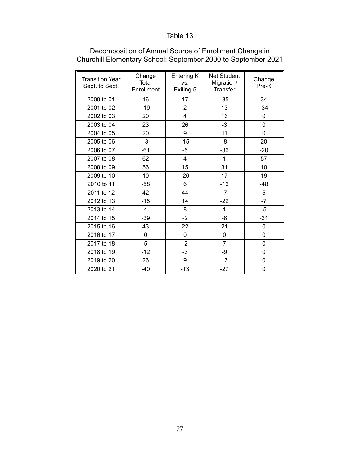| <b>Transition Year</b><br>Sept. to Sept. | Change<br>Total<br>Enrollment | Entering K<br>VS.<br>Exiting 5 | <b>Net Student</b><br>Migration/<br>Transfer | Change<br>Pre-K |
|------------------------------------------|-------------------------------|--------------------------------|----------------------------------------------|-----------------|
| 2000 to 01                               | 16                            | 17                             | $-35$                                        | 34              |
| 2001 to 02                               | $-19$                         | $\overline{2}$                 | 13                                           | $-34$           |
| 2002 to 03                               | 20                            | 4                              | 16                                           | 0               |
| 2003 to 04                               | 23                            | 26                             | $-3$                                         | $\mathbf 0$     |
| 2004 to 05                               | 20                            | 9                              | 11                                           | 0               |
| 2005 to 06                               | $-3$                          | $-15$                          | -8                                           | 20              |
| 2006 to 07                               | $-61$                         | $-5$                           | $-36$                                        | $-20$           |
| 2007 to 08                               | 62                            | $\overline{4}$                 | 1                                            | 57              |
| 2008 to 09                               | 56                            | 15                             | 31                                           | 10              |
| 2009 to 10                               | 10                            | $-26$                          | 17                                           | 19              |
| 2010 to 11                               | -58                           | 6                              | $-16$                                        | $-48$           |
| 2011 to 12                               | 42                            | 44                             | $-7$                                         | 5               |
| 2012 to 13                               | $-15$                         | 14                             | $-22$                                        | $-7$            |
| 2013 to 14                               | 4                             | 8                              | 1                                            | $-5$            |
| 2014 to 15                               | $-39$                         | $-2$                           | -6                                           | $-31$           |
| 2015 to 16                               | 43                            | 22                             | 21                                           | 0               |
| 2016 to 17                               | 0                             | 0                              | 0                                            | 0               |
| 2017 to 18                               | 5                             | $-2$                           | 7                                            | 0               |
| 2018 to 19                               | $-12$                         | $-3$                           | -9                                           | 0               |
| 2019 to 20                               | 26                            | 9                              | 17                                           | 0               |
| 2020 to 21                               | $-40$                         | $-13$                          | $-27$                                        | 0               |

#### Decomposition of Annual Source of Enrollment Change in Churchill Elementary School: September 2000 to September 2021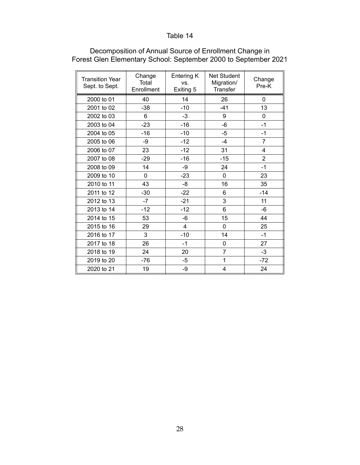| <b>Transition Year</b><br>Sept. to Sept. | Change<br>Total<br>Enrollment | Entering K<br>VS.<br>Exiting 5 | <b>Net Student</b><br>Migration/<br>Transfer | Change<br>Pre-K |
|------------------------------------------|-------------------------------|--------------------------------|----------------------------------------------|-----------------|
| 2000 to 01                               | 40                            | 14                             | 26                                           | $\Omega$        |
| 2001 to 02                               | $-38$                         | $-10$                          | $-41$                                        | 13              |
| 2002 to 03                               | 6                             | $-3$                           | 9                                            | $\Omega$        |
| 2003 to 04                               | $-23$                         | $-16$                          | -6                                           | $-1$            |
| 2004 to 05                               | $-16$                         | $-10$                          | $-5$                                         | $-1$            |
| 2005 to 06                               | -9                            | $-12$                          | $-4$                                         | $\overline{7}$  |
| 2006 to 07                               | 23                            | $-12$                          | 31                                           | 4               |
| 2007 to 08                               | $-29$                         | $-16$                          | $-15$                                        | $\overline{2}$  |
| 2008 to 09                               | 14                            | $-9$                           | 24                                           | $-1$            |
| 2009 to 10                               | $\Omega$                      | $-23$                          | $\Omega$                                     | 23              |
| 2010 to 11                               | 43                            | -8                             | 16                                           | 35              |
| 2011 to 12                               | $-30$                         | $-22$                          | 6                                            | $-14$           |
| 2012 to 13                               | $-7$                          | $-21$                          | 3                                            | 11              |
| 2013 to 14                               | $-12$                         | $-12$                          | 6                                            | -6              |
| 2014 to 15                               | 53                            | $-6$                           | 15                                           | 44              |
| 2015 to 16                               | 29                            | 4                              | 0                                            | 25              |
| 2016 to 17                               | 3                             | $-10$                          | 14                                           | $-1$            |
| 2017 to 18                               | 26                            | $-1$                           | 0                                            | 27              |
| 2018 to 19                               | 24                            | 20                             | 7                                            | $-3$            |
| 2019 to 20                               | $-76$                         | -5                             | 1                                            | $-72$           |
| 2020 to 21                               | 19                            | -9                             | 4                                            | 24              |

### Decomposition of Annual Source of Enrollment Change in Forest Glen Elementary School: September 2000 to September 2021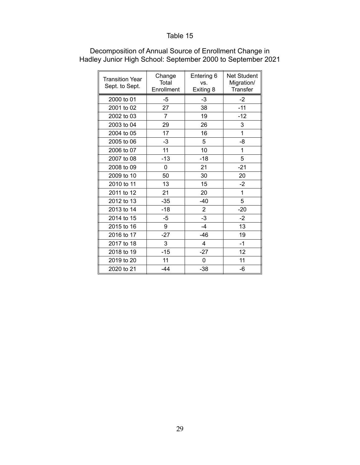| <b>Transition Year</b><br>Sept. to Sept. | Change<br>Total<br>Enrollment | Entering 6<br>VS.<br>Exiting 8 | Net Student<br>Migration/<br>Transfer |
|------------------------------------------|-------------------------------|--------------------------------|---------------------------------------|
| 2000 to 01                               | -5                            | $-3$                           | $-2$                                  |
| 2001 to 02                               | 27                            | 38                             | $-11$                                 |
| 2002 to 03                               | $\overline{7}$                | 19                             | $-12$                                 |
| 2003 to 04                               | 29                            | 26                             | 3                                     |
| 2004 to 05                               | 17                            | 16                             | 1                                     |
| 2005 to 06                               | $-3$                          | 5                              | -8                                    |
| 2006 to 07                               | 11                            | 10                             | 1                                     |
| 2007 to 08                               | $-13$                         | $-18$                          | 5                                     |
| 2008 to 09                               | 0                             | 21                             | $-21$                                 |
| 2009 to 10                               | 50                            | 30                             | 20                                    |
| 2010 to 11                               | 13                            | 15                             | $-2$                                  |
| 2011 to 12                               | 21                            | 20                             | $\mathbf{1}$                          |
| 2012 to 13                               | $-35$                         | $-40$                          | 5                                     |
| 2013 to 14                               | $-18$                         | 2                              | $-20$                                 |
| 2014 to 15                               | -5                            | -3                             | $-2$                                  |
| 2015 to 16                               | 9                             | $-4$                           | 13                                    |
| 2016 to 17                               | $-27$                         | -46                            | 19                                    |
| 2017 to 18                               | 3                             | 4                              | $-1$                                  |
| 2018 to 19                               | $-15$                         | $-27$                          | 12                                    |
| 2019 to 20                               | 11                            | 0                              | 11                                    |
| 2020 to 21                               | $-44$                         | $-38$                          | -6                                    |

### Decomposition of Annual Source of Enrollment Change in Hadley Junior High School: September 2000 to September 2021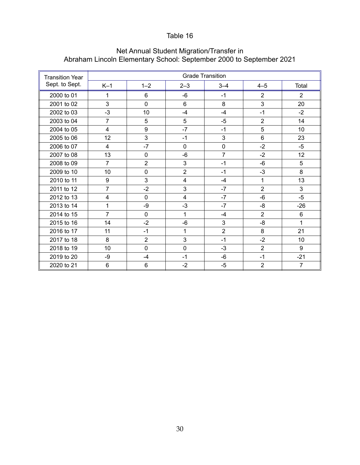| <b>Transition Year</b> |                |                |                | <b>Grade Transition</b> |                |                |
|------------------------|----------------|----------------|----------------|-------------------------|----------------|----------------|
| Sept. to Sept.         | $K-1$          | $1 - 2$        | $2 - 3$        | $3 - 4$                 | $4 - 5$        | Total          |
| 2000 to 01             | 1              | 6              | -6             | $-1$                    | $\overline{2}$ | $\overline{2}$ |
| 2001 to 02             | 3              | 0              | 6              | 8                       | 3              | 20             |
| 2002 to 03             | $-3$           | 10             | $-4$           | $-4$                    | $-1$           | $-2$           |
| 2003 to 04             | $\overline{7}$ | 5              | 5              | $-5$                    | $\overline{2}$ | 14             |
| 2004 to 05             | $\overline{4}$ | 9              | $-7$           | $-1$                    | 5              | 10             |
| 2005 to 06             | 12             | 3              | $-1$           | 3                       | 6              | 23             |
| 2006 to 07             | 4              | $-7$           | 0              | 0                       | $-2$           | $-5$           |
| 2007 to 08             | 13             | $\mathbf 0$    | $-6$           | $\overline{7}$          | $-2$           | 12             |
| 2008 to 09             | $\overline{7}$ | $\overline{2}$ | 3              | $-1$                    | $-6$           | 5              |
| 2009 to 10             | 10             | $\mathbf 0$    | $\overline{2}$ | $-1$                    | $-3$           | 8              |
| 2010 to 11             | 9              | 3              | 4              | $-4$                    | $\mathbf{1}$   | 13             |
| 2011 to 12             | $\overline{7}$ | $-2$           | 3              | $-7$                    | $\overline{2}$ | 3              |
| 2012 to 13             | 4              | $\mathbf 0$    | 4              | $-7$                    | $-6$           | $-5$           |
| 2013 to 14             | 1              | -9             | $-3$           | $-7$                    | -8             | $-26$          |
| 2014 to 15             | 7              | $\mathbf 0$    | $\mathbf{1}$   | $-4$                    | $\overline{2}$ | 6              |
| 2015 to 16             | 14             | $-2$           | -6             | 3                       | -8             | $\mathbf{1}$   |
| 2016 to 17             | 11             | $-1$           | 1              | $\overline{2}$          | 8              | 21             |
| 2017 to 18             | 8              | $\overline{2}$ | 3              | $-1$                    | $-2$           | 10             |
| 2018 to 19             | 10             | $\mathbf 0$    | $\overline{0}$ | $-3$                    | $\overline{2}$ | 9              |
| 2019 to 20             | $-9$           | $-4$           | $-1$           | $-6$                    | $-1$           | $-21$          |
| 2020 to 21             | 6              | 6              | $-2$           | $-5$                    | $\overline{2}$ | $\overline{7}$ |

#### Net Annual Student Migration/Transfer in Abraham Lincoln Elementary School: September 2000 to September 2021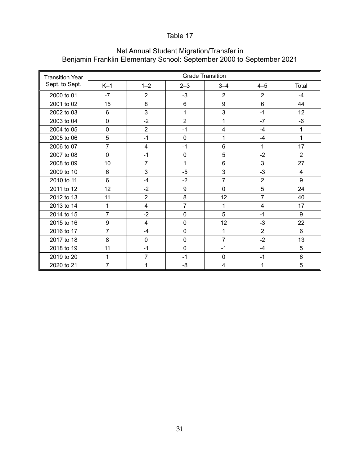| <b>Transition Year</b> |                |                         |                | <b>Grade Transition</b> |                |                |
|------------------------|----------------|-------------------------|----------------|-------------------------|----------------|----------------|
| Sept. to Sept.         | $K-1$          | $1 - 2$                 | $2 - 3$        | $3 - 4$                 | $4 - 5$        | Total          |
| 2000 to 01             | $-7$           | $\overline{2}$          | $-3$           | $\overline{2}$          | $\overline{2}$ | $-4$           |
| 2001 to 02             | 15             | 8                       | $6\phantom{1}$ | 9                       | 6              | 44             |
| 2002 to 03             | 6              | 3                       | $\mathbf{1}$   | 3                       | $-1$           | 12             |
| 2003 to 04             | $\mathbf 0$    | $-2$                    | $\overline{2}$ | 1                       | $-7$           | $-6$           |
| 2004 to 05             | $\mathbf 0$    | $\overline{2}$          | $-1$           | 4                       | $-4$           | 1              |
| 2005 to 06             | 5              | $-1$                    | $\mathbf 0$    | 1                       | $-4$           | 1              |
| 2006 to 07             | $\overline{7}$ | $\overline{\mathbf{4}}$ | $-1$           | 6                       | 1              | 17             |
| 2007 to 08             | $\mathbf 0$    | $-1$                    | $\mathbf 0$    | 5                       | $-2$           | 2              |
| 2008 to 09             | 10             | $\overline{7}$          | 1              | 6                       | 3              | 27             |
| 2009 to 10             | 6              | 3                       | $-5$           | 3                       | $-3$           | $\overline{4}$ |
| 2010 to 11             | 6              | $-4$                    | $-2$           | $\overline{7}$          | $\overline{2}$ | 9              |
| 2011 to 12             | 12             | $-2$                    | 9              | $\mathbf 0$             | 5              | 24             |
| 2012 to 13             | 11             | $\overline{2}$          | 8              | 12                      | $\overline{7}$ | 40             |
| 2013 to 14             | 1              | $\overline{4}$          | $\overline{7}$ | 1                       | $\overline{4}$ | 17             |
| 2014 to 15             | $\overline{7}$ | $-2$                    | $\mathbf 0$    | 5                       | $-1$           | 9              |
| 2015 to 16             | 9              | 4                       | $\mathbf 0$    | 12                      | $-3$           | 22             |
| 2016 to 17             | $\overline{7}$ | $-4$                    | $\mathbf 0$    | 1                       | $\overline{2}$ | 6              |
| 2017 to 18             | 8              | $\mathbf 0$             | $\mathbf 0$    | $\overline{7}$          | $-2$           | 13             |
| 2018 to 19             | 11             | $-1$                    | $\mathbf 0$    | $-1$                    | $-4$           | 5              |
| 2019 to 20             | 1              | $\overline{7}$          | $-1$           | 0                       | $-1$           | $6\phantom{1}$ |
| 2020 to 21             | $\overline{7}$ | 1                       | $-8$           | 4                       | 1              | 5              |

#### Net Annual Student Migration/Transfer in Benjamin Franklin Elementary School: September 2000 to September 2021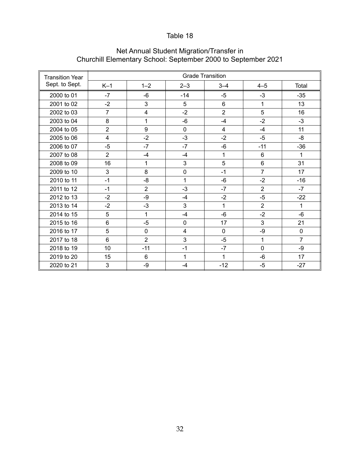| <b>Transition Year</b> |                |                |                | <b>Grade Transition</b> |                |                |
|------------------------|----------------|----------------|----------------|-------------------------|----------------|----------------|
| Sept. to Sept.         | $K-1$          | $1 - 2$        | $2 - 3$        | $3 - 4$                 | $4 - 5$        | Total          |
| 2000 to 01             | $-7$           | $-6$           | $-14$          | $-5$                    | $-3$           | $-35$          |
| 2001 to 02             | $-2$           | 3              | 5              | 6                       | 1              | 13             |
| 2002 to 03             | $\overline{7}$ | 4              | $-2$           | $\overline{2}$          | 5              | 16             |
| 2003 to 04             | 8              | 1              | -6             | $-4$                    | $-2$           | $-3$           |
| 2004 to 05             | $\overline{2}$ | 9              | $\mathbf 0$    | $\overline{4}$          | $-4$           | 11             |
| 2005 to 06             | $\overline{4}$ | $-2$           | $-3$           | $-2$                    | $-5$           | -8             |
| 2006 to 07             | $-5$           | $-7$           | $-7$           | $-6$                    | $-11$          | $-36$          |
| 2007 to 08             | $\overline{2}$ | $-4$           | $-4$           | 1                       | $6\phantom{1}$ | 1              |
| 2008 to 09             | 16             | 1              | 3              | 5                       | 6              | 31             |
| 2009 to 10             | 3              | 8              | 0              | $-1$                    | $\overline{7}$ | 17             |
| 2010 to 11             | $-1$           | $-8$           | 1              | $-6$                    | $-2$           | $-16$          |
| 2011 to 12             | $-1$           | $\overline{2}$ | $-3$           | $-7$                    | $\overline{2}$ | $-7$           |
| 2012 to 13             | $-2$           | -9             | $-4$           | $-2$                    | $-5$           | $-22$          |
| 2013 to 14             | $-2$           | $-3$           | 3              | 1                       | $\overline{2}$ | $\mathbf{1}$   |
| 2014 to 15             | 5              | 1              | $-4$           | $-6$                    | $-2$           | $-6$           |
| 2015 to 16             | 6              | $-5$           | $\mathbf 0$    | 17                      | 3              | 21             |
| 2016 to 17             | 5              | $\mathbf 0$    | $\overline{4}$ | $\mathbf 0$             | -9             | $\Omega$       |
| 2017 to 18             | 6              | $\overline{2}$ | 3              | $-5$                    | 1              | $\overline{7}$ |
| 2018 to 19             | 10             | $-11$          | $-1$           | $-7$                    | $\mathbf 0$    | -9             |
| 2019 to 20             | 15             | 6              | 1              | 1                       | -6             | 17             |
| 2020 to 21             | 3              | -9             | $-4$           | $-12$                   | $-5$           | $-27$          |

### Net Annual Student Migration/Transfer in Churchill Elementary School: September 2000 to September 2021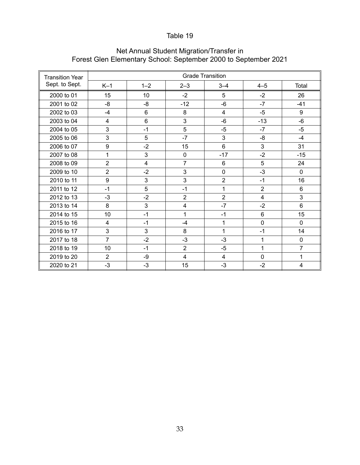| <b>Transition Year</b> |                |         |                | <b>Grade Transition</b> |                |                |
|------------------------|----------------|---------|----------------|-------------------------|----------------|----------------|
| Sept. to Sept.         | $K-1$          | $1 - 2$ | $2 - 3$        | $3 - 4$                 | $4 - 5$        | Total          |
| 2000 to 01             | 15             | 10      | $-2$           | 5                       | $-2$           | 26             |
| 2001 to 02             | -8             | $-8$    | $-12$          | $-6$                    | $-7$           | $-41$          |
| 2002 to 03             | $-4$           | 6       | 8              | $\overline{4}$          | $-5$           | 9              |
| 2003 to 04             | 4              | 6       | 3              | $-6$                    | $-13$          | $-6$           |
| 2004 to 05             | 3              | $-1$    | 5              | $-5$                    | $-7$           | $-5$           |
| 2005 to 06             | 3              | 5       | $-7$           | 3                       | $-8$           | $-4$           |
| 2006 to 07             | 9              | $-2$    | 15             | 6                       | 3              | 31             |
| 2007 to 08             | 1              | 3       | $\mathbf 0$    | $-17$                   | $-2$           | $-15$          |
| 2008 to 09             | $\overline{2}$ | 4       | $\overline{7}$ | 6                       | 5              | 24             |
| 2009 to 10             | $\overline{2}$ | $-2$    | 3              | 0                       | $-3$           | $\Omega$       |
| 2010 to 11             | 9              | 3       | 3              | $\overline{2}$          | $-1$           | 16             |
| 2011 to 12             | $-1$           | 5       | $-1$           | 1                       | $\overline{2}$ | 6              |
| 2012 to 13             | $-3$           | $-2$    | $\overline{2}$ | $\overline{2}$          | 4              | 3              |
| 2013 to 14             | 8              | 3       | $\overline{4}$ | $-7$                    | $-2$           | 6              |
| 2014 to 15             | 10             | $-1$    | 1              | $-1$                    | 6              | 15             |
| 2015 to 16             | $\overline{4}$ | $-1$    | $-4$           | 1                       | $\mathbf 0$    | $\Omega$       |
| 2016 to 17             | 3              | 3       | 8              | 1                       | $-1$           | 14             |
| 2017 to 18             | $\overline{7}$ | $-2$    | $-3$           | $-3$                    | 1              | $\mathbf 0$    |
| 2018 to 19             | 10             | $-1$    | $\overline{2}$ | $-5$                    | 1              | $\overline{7}$ |
| 2019 to 20             | $\overline{2}$ | -9      | 4              | 4                       | $\mathbf 0$    | 1              |
| 2020 to 21             | $-3$           | $-3$    | 15             | $-3$                    | $-2$           | 4              |

### Net Annual Student Migration/Transfer in Forest Glen Elementary School: September 2000 to September 2021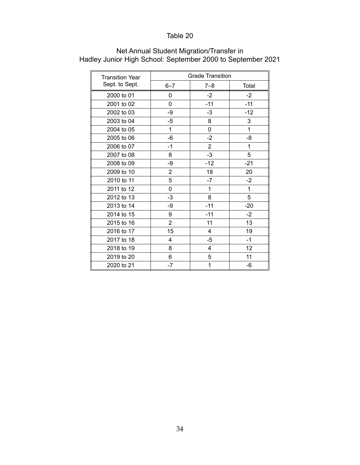| <b>Transition Year</b> | <b>Grade Transition</b> |                |              |  |
|------------------------|-------------------------|----------------|--------------|--|
| Sept. to Sept.         | $6 - 7$                 | $7 - 8$        | Total        |  |
| 2000 to 01             | 0                       | $-2$           | $-2$         |  |
| 2001 to 02             | 0                       | $-11$          | $-11$        |  |
| 2002 to 03             | -9                      | $-3$           | $-12$        |  |
| 2003 to 04             | $-5$                    | 8              | 3            |  |
| 2004 to 05             | 1                       | 0              | $\mathbf{1}$ |  |
| 2005 to 06             | $-6$                    | $-2$           | -8           |  |
| 2006 to 07             | $-1$                    | $\overline{c}$ | 1            |  |
| 2007 to 08             | 8                       | $-3$           | 5            |  |
| 2008 to 09             | -9                      | $-12$          | $-21$        |  |
| 2009 to 10             | $\overline{2}$          | 18             | 20           |  |
| 2010 to 11             | 5                       | $-7$           | $-2$         |  |
| 2011 to 12             | 0                       | 1              | 1            |  |
| 2012 to 13             | $-3$                    | 8              | 5            |  |
| 2013 to 14             | -9                      | $-11$          | $-20$        |  |
| 2014 to 15             | 9                       | $-11$          | $-2$         |  |
| 2015 to 16             | $\overline{2}$          | 11             | 13           |  |
| 2016 to 17             | 15                      | 4              | 19           |  |
| 2017 to 18             | 4                       | $-5$           | $-1$         |  |
| 2018 to 19             | 8                       | 4              | 12           |  |
| 2019 to 20             | 6                       | 5              | 11           |  |
| 2020 to 21             | $-7$                    | 1              | -6           |  |

### Net Annual Student Migration/Transfer in Hadley Junior High School: September 2000 to September 2021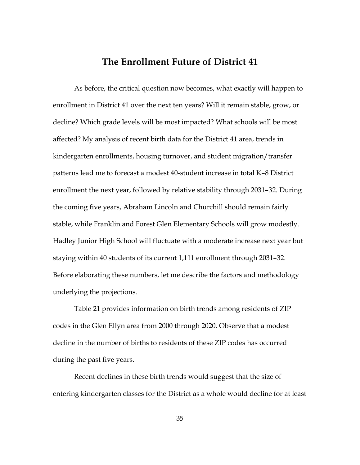## **The Enrollment Future of District 41**

As before, the critical question now becomes, what exactly will happen to enrollment in District 41 over the next ten years? Will it remain stable, grow, or decline? Which grade levels will be most impacted? What schools will be most affected? My analysis of recent birth data for the District 41 area, trends in kindergarten enrollments, housing turnover, and student migration/transfer patterns lead me to forecast a modest 40-student increase in total K–8 District enrollment the next year, followed by relative stability through 2031–32. During the coming five years, Abraham Lincoln and Churchill should remain fairly stable, while Franklin and Forest Glen Elementary Schools will grow modestly. Hadley Junior High School will fluctuate with a moderate increase next year but staying within 40 students of its current 1,111 enrollment through 2031–32. Before elaborating these numbers, let me describe the factors and methodology underlying the projections.

Table 21 provides information on birth trends among residents of ZIP codes in the Glen Ellyn area from 2000 through 2020. Observe that a modest decline in the number of births to residents of these ZIP codes has occurred during the past five years.

Recent declines in these birth trends would suggest that the size of entering kindergarten classes for the District as a whole would decline for at least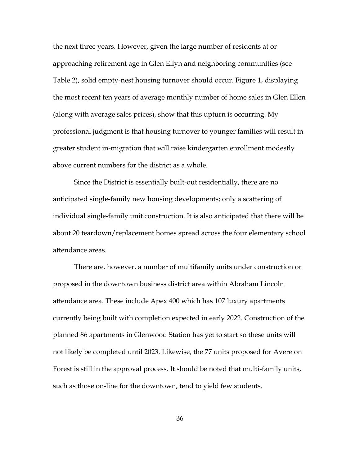the next three years. However, given the large number of residents at or approaching retirement age in Glen Ellyn and neighboring communities (see Table 2), solid empty-nest housing turnover should occur. Figure 1, displaying the most recent ten years of average monthly number of home sales in Glen Ellen (along with average sales prices), show that this upturn is occurring. My professional judgment is that housing turnover to younger families will result in greater student in-migration that will raise kindergarten enrollment modestly above current numbers for the district as a whole.

Since the District is essentially built-out residentially, there are no anticipated single-family new housing developments; only a scattering of individual single-family unit construction. It is also anticipated that there will be about 20 teardown/replacement homes spread across the four elementary school attendance areas.

There are, however, a number of multifamily units under construction or proposed in the downtown business district area within Abraham Lincoln attendance area. These include Apex 400 which has 107 luxury apartments currently being built with completion expected in early 2022. Construction of the planned 86 apartments in Glenwood Station has yet to start so these units will not likely be completed until 2023. Likewise, the 77 units proposed for Avere on Forest is still in the approval process. It should be noted that multi-family units, such as those on-line for the downtown, tend to yield few students.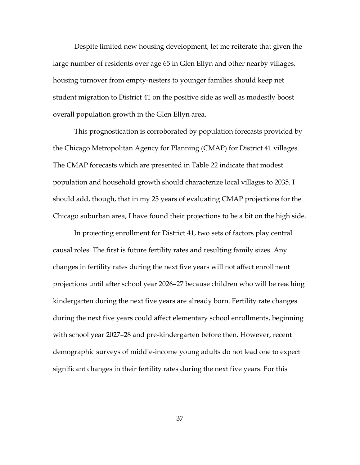Despite limited new housing development, let me reiterate that given the large number of residents over age 65 in Glen Ellyn and other nearby villages, housing turnover from empty-nesters to younger families should keep net student migration to District 41 on the positive side as well as modestly boost overall population growth in the Glen Ellyn area.

This prognostication is corroborated by population forecasts provided by the Chicago Metropolitan Agency for Planning (CMAP) for District 41 villages. The CMAP forecasts which are presented in Table 22 indicate that modest population and household growth should characterize local villages to 2035. I should add, though, that in my 25 years of evaluating CMAP projections for the Chicago suburban area, I have found their projections to be a bit on the high side.

In projecting enrollment for District 41, two sets of factors play central causal roles. The first is future fertility rates and resulting family sizes. Any changes in fertility rates during the next five years will not affect enrollment projections until after school year 2026–27 because children who will be reaching kindergarten during the next five years are already born. Fertility rate changes during the next five years could affect elementary school enrollments, beginning with school year 2027–28 and pre-kindergarten before then. However, recent demographic surveys of middle-income young adults do not lead one to expect significant changes in their fertility rates during the next five years. For this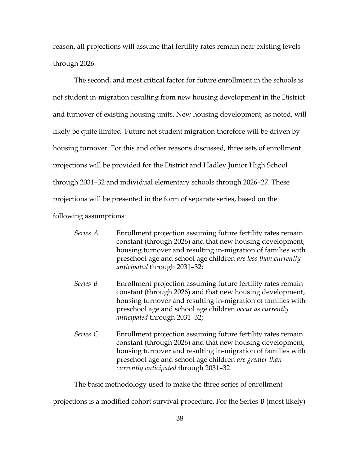reason, all projections will assume that fertility rates remain near existing levels through 2026.

The second, and most critical factor for future enrollment in the schools is net student in-migration resulting from new housing development in the District and turnover of existing housing units. New housing development, as noted, will likely be quite limited. Future net student migration therefore will be driven by housing turnover. For this and other reasons discussed, three sets of enrollment projections will be provided for the District and Hadley Junior High School through 2031–32 and individual elementary schools through 2026–27. These projections will be presented in the form of separate series, based on the following assumptions:

| Series A | Enrollment projection assuming future fertility rates remain<br>constant (through 2026) and that new housing development,<br>housing turnover and resulting in-migration of families with<br>preschool age and school age children are less than currently<br>anticipated through 2031-32;    |
|----------|-----------------------------------------------------------------------------------------------------------------------------------------------------------------------------------------------------------------------------------------------------------------------------------------------|
| Series B | Enrollment projection assuming future fertility rates remain<br>constant (through 2026) and that new housing development,<br>housing turnover and resulting in-migration of families with<br>preschool age and school age children occur as currently<br>anticipated through 2031-32;         |
| Series C | Enrollment projection assuming future fertility rates remain<br>constant (through 2026) and that new housing development,<br>housing turnover and resulting in-migration of families with<br>preschool age and school age children are greater than<br>currently anticipated through 2031-32. |

The basic methodology used to make the three series of enrollment

projections is a modified cohort survival procedure. For the Series B (most likely)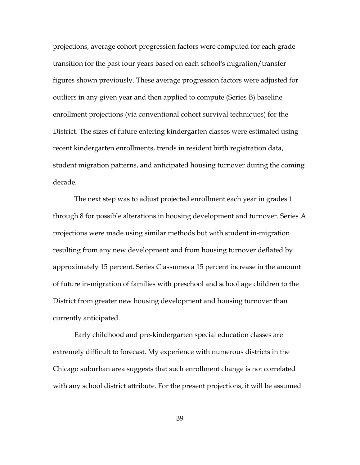projections, average cohort progression factors were computed for each grade transition for the past four years based on each school's migration/transfer figures shown previously. These average progression factors were adjusted for outliers in any given year and then applied to compute (Series B) baseline enrollment projections (via conventional cohort survival techniques) for the District. The sizes of future entering kindergarten classes were estimated using recent kindergarten enrollments, trends in resident birth registration data, student migration patterns, and anticipated housing turnover during the coming decade.

The next step was to adjust projected enrollment each year in grades 1 through 8 for possible alterations in housing development and turnover. Series A projections were made using similar methods but with student in-migration resulting from any new development and from housing turnover deflated by approximately 15 percent. Series C assumes a 15 percent increase in the amount of future in-migration of families with preschool and school age children to the District from greater new housing development and housing turnover than currently anticipated.

Early childhood and pre-kindergarten special education classes are extremely difficult to forecast. My experience with numerous districts in the Chicago suburban area suggests that such enrollment change is not correlated with any school district attribute. For the present projections, it will be assumed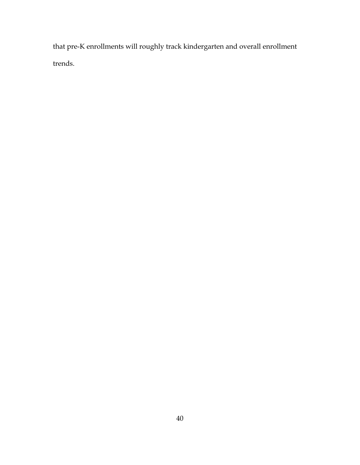that pre-K enrollments will roughly track kindergarten and overall enrollment trends.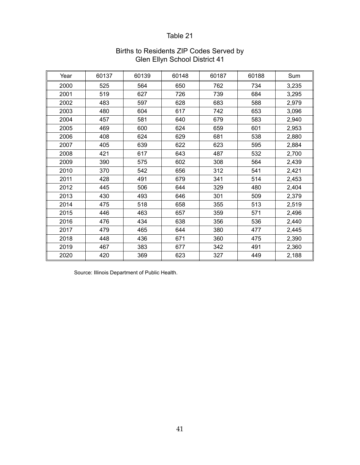| Year | 60137 | 60139 | 60148 | 60187 | 60188 | Sum   |
|------|-------|-------|-------|-------|-------|-------|
| 2000 | 525   | 564   | 650   | 762   | 734   | 3,235 |
| 2001 | 519   | 627   | 726   | 739   | 684   | 3,295 |
| 2002 | 483   | 597   | 628   | 683   | 588   | 2,979 |
| 2003 | 480   | 604   | 617   | 742   | 653   | 3,096 |
| 2004 | 457   | 581   | 640   | 679   | 583   | 2,940 |
| 2005 | 469   | 600   | 624   | 659   | 601   | 2,953 |
| 2006 | 408   | 624   | 629   | 681   | 538   | 2,880 |
| 2007 | 405   | 639   | 622   | 623   | 595   | 2,884 |
| 2008 | 421   | 617   | 643   | 487   | 532   | 2,700 |
| 2009 | 390   | 575   | 602   | 308   | 564   | 2,439 |
| 2010 | 370   | 542   | 656   | 312   | 541   | 2,421 |
| 2011 | 428   | 491   | 679   | 341   | 514   | 2,453 |
| 2012 | 445   | 506   | 644   | 329   | 480   | 2,404 |
| 2013 | 430   | 493   | 646   | 301   | 509   | 2,379 |
| 2014 | 475   | 518   | 658   | 355   | 513   | 2,519 |
| 2015 | 446   | 463   | 657   | 359   | 571   | 2,496 |
| 2016 | 476   | 434   | 638   | 356   | 536   | 2,440 |
| 2017 | 479   | 465   | 644   | 380   | 477   | 2,445 |
| 2018 | 448   | 436   | 671   | 360   | 475   | 2,390 |
| 2019 | 467   | 383   | 677   | 342   | 491   | 2,360 |
| 2020 | 420   | 369   | 623   | 327   | 449   | 2,188 |

#### Births to Residents ZIP Codes Served by Glen Ellyn School District 41

Source: Illinois Department of Public Health.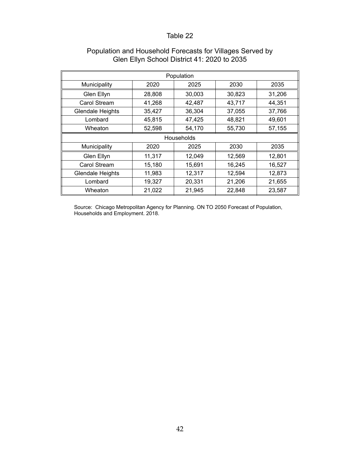|                         | Population |                   |        |        |  |  |  |  |  |
|-------------------------|------------|-------------------|--------|--------|--|--|--|--|--|
| Municipality            | 2020       | 2025              | 2030   | 2035   |  |  |  |  |  |
| Glen Ellyn              | 28,808     | 30,003            | 30,823 | 31,206 |  |  |  |  |  |
| Carol Stream            | 41,268     | 42,487            | 43,717 | 44,351 |  |  |  |  |  |
| <b>Glendale Heights</b> | 35,427     | 36,304            | 37,055 | 37,766 |  |  |  |  |  |
| Lombard                 | 45,815     | 47,425            | 48,821 | 49,601 |  |  |  |  |  |
| Wheaton                 | 52,598     | 54,170            | 55,730 | 57,155 |  |  |  |  |  |
|                         |            | <b>Households</b> |        |        |  |  |  |  |  |
| Municipality            | 2020       | 2025              | 2030   | 2035   |  |  |  |  |  |
| Glen Ellyn              | 11,317     | 12,049            | 12,569 | 12,801 |  |  |  |  |  |
| <b>Carol Stream</b>     | 15,180     | 15,691            | 16,245 | 16,527 |  |  |  |  |  |
| Glendale Heights        | 11,983     | 12,317            | 12,594 | 12,873 |  |  |  |  |  |
| Lombard                 | 19,327     | 20,331            | 21,206 | 21,655 |  |  |  |  |  |
| Wheaton                 | 21,022     | 21,945            | 22,848 | 23,587 |  |  |  |  |  |

#### Population and Household Forecasts for Villages Served by Glen Ellyn School District 41: 2020 to 2035

Source: Chicago Metropolitan Agency for Planning. ON TO 2050 Forecast of Population, Households and Employment. 2018.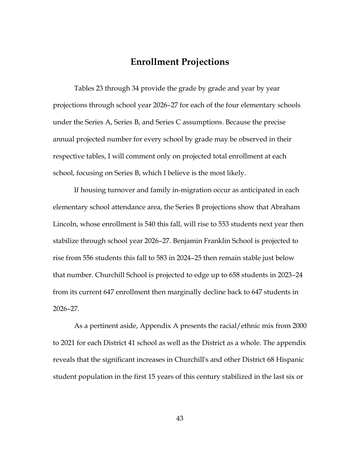## **Enrollment Projections**

Tables 23 through 34 provide the grade by grade and year by year projections through school year 2026–27 for each of the four elementary schools under the Series A, Series B, and Series C assumptions. Because the precise annual projected number for every school by grade may be observed in their respective tables, I will comment only on projected total enrollment at each school, focusing on Series B, which I believe is the most likely.

If housing turnover and family in-migration occur as anticipated in each elementary school attendance area, the Series B projections show that Abraham Lincoln, whose enrollment is 540 this fall, will rise to 553 students next year then stabilize through school year 2026–27. Benjamin Franklin School is projected to rise from 556 students this fall to 583 in 2024–25 then remain stable just below that number. Churchill School is projected to edge up to 658 students in 2023–24 from its current 647 enrollment then marginally decline back to 647 students in 2026–27.

As a pertinent aside, Appendix A presents the racial/ethnic mix from 2000 to 2021 for each District 41 school as well as the District as a whole. The appendix reveals that the significant increases in Churchill's and other District 68 Hispanic student population in the first 15 years of this century stabilized in the last six or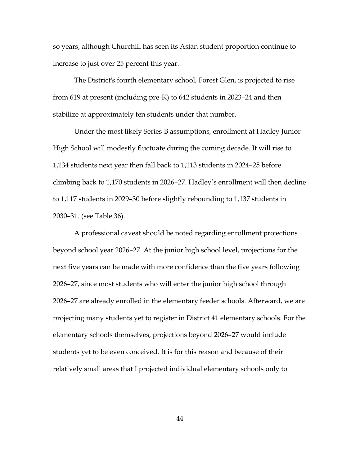so years, although Churchill has seen its Asian student proportion continue to increase to just over 25 percent this year.

The District's fourth elementary school, Forest Glen, is projected to rise from 619 at present (including pre-K) to 642 students in 2023–24 and then stabilize at approximately ten students under that number.

Under the most likely Series B assumptions, enrollment at Hadley Junior High School will modestly fluctuate during the coming decade. It will rise to 1,134 students next year then fall back to 1,113 students in 2024–25 before climbing back to 1,170 students in 2026–27. Hadley's enrollment will then decline to 1,117 students in 2029–30 before slightly rebounding to 1,137 students in 2030–31. (see Table 36).

A professional caveat should be noted regarding enrollment projections beyond school year 2026–27. At the junior high school level, projections for the next five years can be made with more confidence than the five years following 2026–27, since most students who will enter the junior high school through 2026–27 are already enrolled in the elementary feeder schools. Afterward, we are projecting many students yet to register in District 41 elementary schools. For the elementary schools themselves, projections beyond 2026–27 would include students yet to be even conceived. It is for this reason and because of their relatively small areas that I projected individual elementary schools only to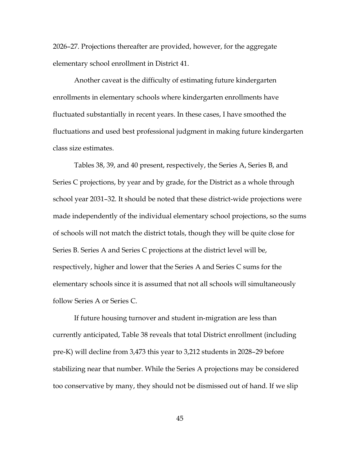2026–27. Projections thereafter are provided, however, for the aggregate elementary school enrollment in District 41.

Another caveat is the difficulty of estimating future kindergarten enrollments in elementary schools where kindergarten enrollments have fluctuated substantially in recent years. In these cases, I have smoothed the fluctuations and used best professional judgment in making future kindergarten class size estimates.

Tables 38, 39, and 40 present, respectively, the Series A, Series B, and Series C projections, by year and by grade, for the District as a whole through school year 2031–32. It should be noted that these district-wide projections were made independently of the individual elementary school projections, so the sums of schools will not match the district totals, though they will be quite close for Series B. Series A and Series C projections at the district level will be, respectively, higher and lower that the Series A and Series C sums for the elementary schools since it is assumed that not all schools will simultaneously follow Series A or Series C.

If future housing turnover and student in-migration are less than currently anticipated, Table 38 reveals that total District enrollment (including pre-K) will decline from 3,473 this year to 3,212 students in 2028–29 before stabilizing near that number. While the Series A projections may be considered too conservative by many, they should not be dismissed out of hand. If we slip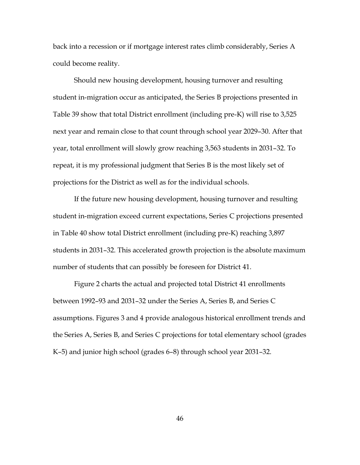back into a recession or if mortgage interest rates climb considerably, Series A could become reality.

Should new housing development, housing turnover and resulting student in-migration occur as anticipated, the Series B projections presented in Table 39 show that total District enrollment (including pre-K) will rise to 3,525 next year and remain close to that count through school year 2029–30. After that year, total enrollment will slowly grow reaching 3,563 students in 2031–32. To repeat, it is my professional judgment that Series B is the most likely set of projections for the District as well as for the individual schools.

If the future new housing development, housing turnover and resulting student in-migration exceed current expectations, Series C projections presented in Table 40 show total District enrollment (including pre-K) reaching 3,897 students in 2031–32. This accelerated growth projection is the absolute maximum number of students that can possibly be foreseen for District 41.

Figure 2 charts the actual and projected total District 41 enrollments between 1992–93 and 2031–32 under the Series A, Series B, and Series C assumptions. Figures 3 and 4 provide analogous historical enrollment trends and the Series A, Series B, and Series C projections for total elementary school (grades K–5) and junior high school (grades 6–8) through school year 2031–32.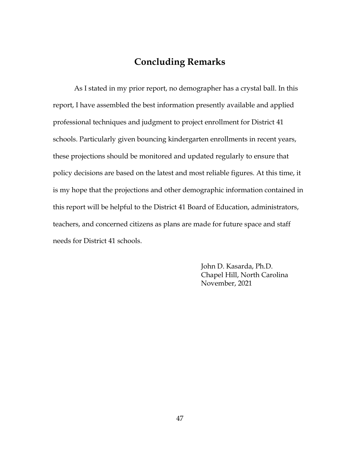# **Concluding Remarks**

As I stated in my prior report, no demographer has a crystal ball. In this report, I have assembled the best information presently available and applied professional techniques and judgment to project enrollment for District 41 schools. Particularly given bouncing kindergarten enrollments in recent years, these projections should be monitored and updated regularly to ensure that policy decisions are based on the latest and most reliable figures. At this time, it is my hope that the projections and other demographic information contained in this report will be helpful to the District 41 Board of Education, administrators, teachers, and concerned citizens as plans are made for future space and staff needs for District 41 schools.

> John D. Kasarda, Ph.D. Chapel Hill, North Carolina November, 2021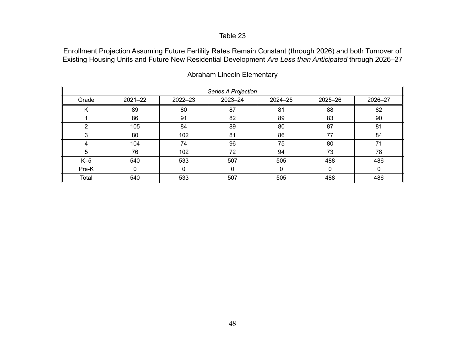Enrollment Projection Assuming Future Fertility Rates Remain Constant (through 2026) and both Turnover of Existing Housing Units and Future New Residential Development *Are Less than Anticipated* through 2026–27

|       | Series A Projection |              |             |         |          |         |  |  |  |
|-------|---------------------|--------------|-------------|---------|----------|---------|--|--|--|
| Grade | $2021 - 22$         | 2022-23      | $2023 - 24$ | 2024-25 | 2025-26  | 2026-27 |  |  |  |
| Κ     | 89                  | 80           | 87          | 81      | 88       | 82      |  |  |  |
|       | 86                  | 91           | 82          | 89      | 83       | 90      |  |  |  |
| ົ     | 105                 | 84           | 89          | 80      | 87       | 81      |  |  |  |
| 3     | 80                  | 102          | 81          | 86      | 77       | 84      |  |  |  |
| 4     | 104                 | 74           | 96          | 75      | 80       | 71      |  |  |  |
| 5     | 76                  | 102          | 72          | 94      | 73       | 78      |  |  |  |
| $K-5$ | 540                 | 533          | 507         | 505     | 488      | 486     |  |  |  |
| Pre-K | 0                   | $\mathbf{0}$ | 0           | 0       | $\Omega$ |         |  |  |  |
| Total | 540                 | 533          | 507         | 505     | 488      | 486     |  |  |  |

Abraham Lincoln Elementary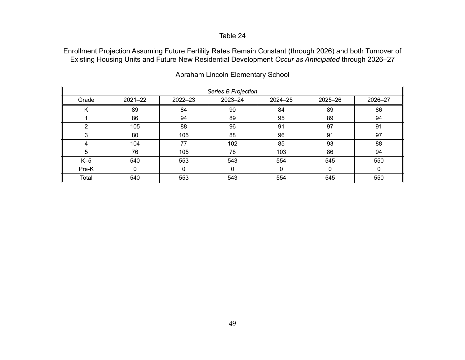Enrollment Projection Assuming Future Fertility Rates Remain Constant (through 2026) and both Turnover of Existing Housing Units and Future New Residential Development *Occur as Anticipated* through 2026–27

| Series B Projection |             |         |             |             |          |         |  |  |
|---------------------|-------------|---------|-------------|-------------|----------|---------|--|--|
| Grade               | $2021 - 22$ | 2022-23 | $2023 - 24$ | 2024-25     | 2025-26  | 2026-27 |  |  |
| K                   | 89          | 84      | 90          | 84          | 89       | 86      |  |  |
|                     | 86          | 94      | 89          | 95          | 89       | 94      |  |  |
| ◠                   | 105         | 88      | 96          | 91          | 97       | 91      |  |  |
|                     | 80          | 105     | 88          | 96          | 91       | 97      |  |  |
| 4                   | 104         | 77      | 102         | 85          | 93       | 88      |  |  |
| 5                   | 76          | 105     | 78          | 103         | 86       | 94      |  |  |
| $K-5$               | 540         | 553     | 543         | 554         | 545      | 550     |  |  |
| Pre-K               | 0           | 0       | 0           | $\mathbf 0$ | $\Omega$ | 0       |  |  |
| Total               | 540         | 553     | 543         | 554         | 545      | 550     |  |  |

Abraham Lincoln Elementary School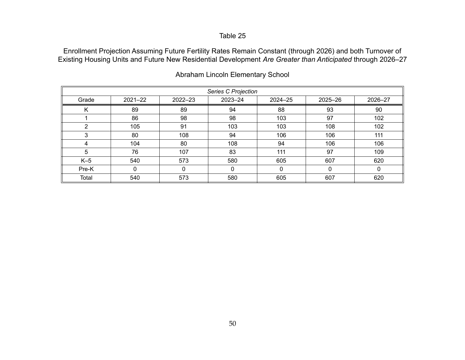Enrollment Projection Assuming Future Fertility Rates Remain Constant (through 2026) and both Turnover of Existing Housing Units and Future New Residential Development *Are Greater than Anticipated* through 2026–27

| Series C Projection |             |             |             |         |         |         |  |  |  |
|---------------------|-------------|-------------|-------------|---------|---------|---------|--|--|--|
| Grade               | $2021 - 22$ | $2022 - 23$ | $2023 - 24$ | 2024-25 | 2025-26 | 2026-27 |  |  |  |
| κ                   | 89          | 89          | 94          | 88      | 93      | 90      |  |  |  |
|                     | 86          | 98          | 98          | 103     | 97      | 102     |  |  |  |
| ◠                   | 105         | 91          | 103         | 103     | 108     | 102     |  |  |  |
| 3                   | 80          | 108         | 94          | 106     | 106     | 111     |  |  |  |
| 4                   | 104         | 80          | 108         | 94      | 106     | 106     |  |  |  |
| 5                   | 76          | 107         | 83          | 111     | 97      | 109     |  |  |  |
| $K-5$               | 540         | 573         | 580         | 605     | 607     | 620     |  |  |  |
| Pre-K               | 0           | 0           | 0           | 0       | 0       | 0       |  |  |  |
| Total               | 540         | 573         | 580         | 605     | 607     | 620     |  |  |  |

Abraham Lincoln Elementary School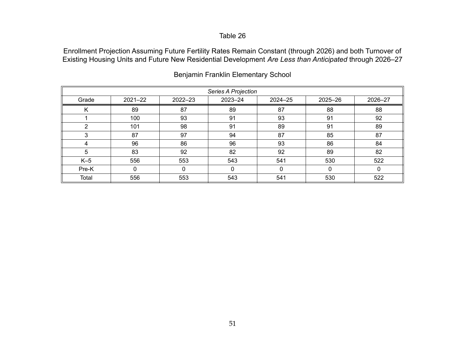Enrollment Projection Assuming Future Fertility Rates Remain Constant (through 2026) and both Turnover of Existing Housing Units and Future New Residential Development *Are Less than Anticipated* through 2026–27

| Series A Projection |             |             |             |         |          |         |  |  |  |
|---------------------|-------------|-------------|-------------|---------|----------|---------|--|--|--|
| Grade               | $2021 - 22$ | $2022 - 23$ | $2023 - 24$ | 2024-25 | 2025-26  | 2026-27 |  |  |  |
| Κ                   | 89          | 87          | 89          | 87      | 88       | 88      |  |  |  |
|                     | 100         | 93          | 91          | 93      | 91       | 92      |  |  |  |
| ◠                   | 101         | 98          | 91          | 89      | 91       | 89      |  |  |  |
|                     | 87          | 97          | 94          | 87      | 85       | 87      |  |  |  |
| Δ                   | 96          | 86          | 96          | 93      | 86       | 84      |  |  |  |
| 5                   | 83          | 92          | 82          | 92      | 89       | 82      |  |  |  |
| $K-5$               | 556         | 553         | 543         | 541     | 530      | 522     |  |  |  |
| Pre-K               | 0           | $\Omega$    | 0           | 0       | $\Omega$ | 0       |  |  |  |
| Total               | 556         | 553         | 543         | 541     | 530      | 522     |  |  |  |

Benjamin Franklin Elementary School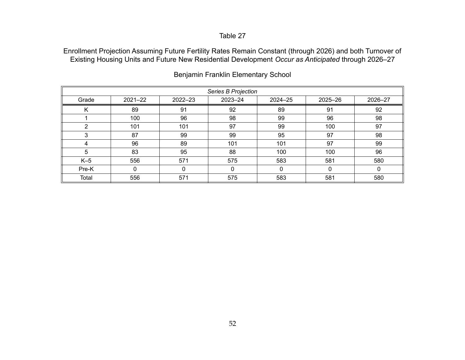Enrollment Projection Assuming Future Fertility Rates Remain Constant (through 2026) and both Turnover of Existing Housing Units and Future New Residential Development *Occur as Anticipated* through 2026–27

| Series B Projection |             |             |             |         |         |         |  |  |
|---------------------|-------------|-------------|-------------|---------|---------|---------|--|--|
| Grade               | $2021 - 22$ | $2022 - 23$ | $2023 - 24$ | 2024-25 | 2025-26 | 2026-27 |  |  |
| Κ                   | 89          | 91          | 92          | 89      | 91      | 92      |  |  |
|                     | 100         | 96          | 98          | 99      | 96      | 98      |  |  |
| ົ                   | 101         | 101         | 97          | 99      | 100     | 97      |  |  |
| 2                   | 87          | 99          | 99          | 95      | 97      | 98      |  |  |
| 4                   | 96          | 89          | 101         | 101     | 97      | 99      |  |  |
| 5                   | 83          | 95          | 88          | 100     | 100     | 96      |  |  |
| $K-5$               | 556         | 571         | 575         | 583     | 581     | 580     |  |  |
| Pre-K               | 0           | 0           |             | 0       | 0       | 0       |  |  |
| Total               | 556         | 571         | 575         | 583     | 581     | 580     |  |  |

Benjamin Franklin Elementary School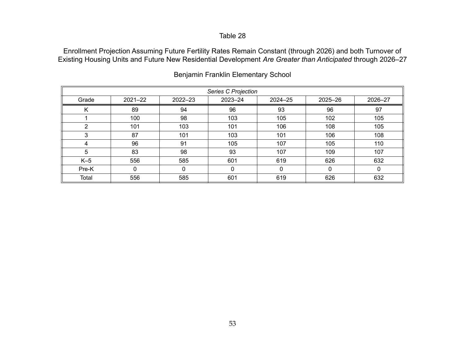Enrollment Projection Assuming Future Fertility Rates Remain Constant (through 2026) and both Turnover of Existing Housing Units and Future New Residential Development *Are Greater than Anticipated* through 2026–27

|       | Series C Projection |             |         |         |         |         |  |  |  |
|-------|---------------------|-------------|---------|---------|---------|---------|--|--|--|
| Grade | $2021 - 22$         | $2022 - 23$ | 2023-24 | 2024-25 | 2025-26 | 2026-27 |  |  |  |
| Κ     | 89                  | 94          | 96      | 93      | 96      | 97      |  |  |  |
|       | 100                 | 98          | 103     | 105     | 102     | 105     |  |  |  |
| ົ     | 101                 | 103         | 101     | 106     | 108     | 105     |  |  |  |
| 3     | 87                  | 101         | 103     | 101     | 106     | 108     |  |  |  |
| 4     | 96                  | 91          | 105     | 107     | 105     | 110     |  |  |  |
| 5     | 83                  | 98          | 93      | 107     | 109     | 107     |  |  |  |
| $K-5$ | 556                 | 585         | 601     | 619     | 626     | 632     |  |  |  |
| Pre-K | 0                   | 0           | 0       | 0       | 0       | 0       |  |  |  |
| Total | 556                 | 585         | 601     | 619     | 626     | 632     |  |  |  |

Benjamin Franklin Elementary School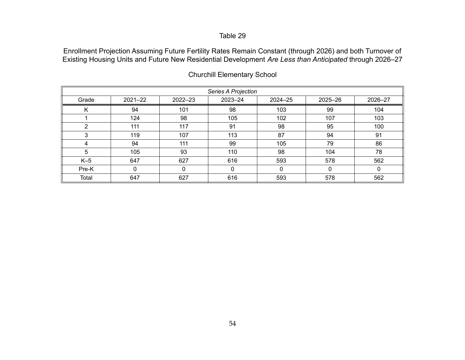Enrollment Projection Assuming Future Fertility Rates Remain Constant (through 2026) and both Turnover of Existing Housing Units and Future New Residential Development *Are Less than Anticipated* through 2026–27

| Series A Projection |             |             |             |             |          |         |  |  |  |
|---------------------|-------------|-------------|-------------|-------------|----------|---------|--|--|--|
| Grade               | $2021 - 22$ | $2022 - 23$ | $2023 - 24$ | 2024-25     | 2025-26  | 2026-27 |  |  |  |
| Κ                   | 94          | 101         | 98          | 103         | 99       | 104     |  |  |  |
|                     | 124         | 98          | 105         | 102         | 107      | 103     |  |  |  |
| ົ                   | 111         | 117         | 91          | 98          | 95       | 100     |  |  |  |
| 3                   | 119         | 107         | 113         | 87          | 94       | 91      |  |  |  |
| 4                   | 94          | 111         | 99          | 105         | 79       | 86      |  |  |  |
| 5                   | 105         | 93          | 110         | 98          | 104      | 78      |  |  |  |
| $K-5$               | 647         | 627         | 616         | 593         | 578      | 562     |  |  |  |
| Pre-K               | $\Omega$    | 0           | 0           | $\mathbf 0$ | $\Omega$ | 0       |  |  |  |
| Total               | 647         | 627         | 616         | 593         | 578      | 562     |  |  |  |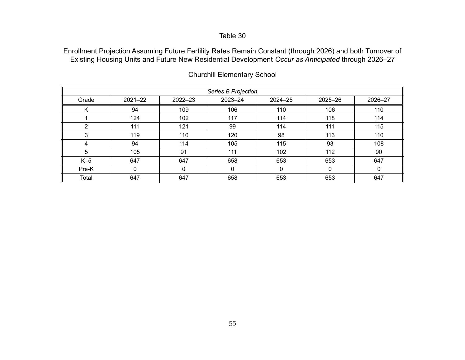Enrollment Projection Assuming Future Fertility Rates Remain Constant (through 2026) and both Turnover of Existing Housing Units and Future New Residential Development *Occur as Anticipated* through 2026–27

| Series B Projection |             |         |         |         |             |         |  |  |
|---------------------|-------------|---------|---------|---------|-------------|---------|--|--|
| Grade               | $2021 - 22$ | 2022-23 | 2023-24 | 2024-25 | 2025-26     | 2026-27 |  |  |
| K                   | 94          | 109     | 106     | 110     | 106         | 110     |  |  |
|                     | 124         | 102     | 117     | 114     | 118         | 114     |  |  |
| 2                   | 111         | 121     | 99      | 114     | 111         | 115     |  |  |
| 3                   | 119         | 110     | 120     | 98      | 113         | 110     |  |  |
| 4                   | 94          | 114     | 105     | 115     | 93          | 108     |  |  |
| 5                   | 105         | 91      | 111     | 102     | 112         | 90      |  |  |
| $K-5$               | 647         | 647     | 658     | 653     | 653         | 647     |  |  |
| Pre-K               | 0           | 0       | 0       | 0       | $\mathbf 0$ | 0       |  |  |
| Total               | 647         | 647     | 658     | 653     | 653         | 647     |  |  |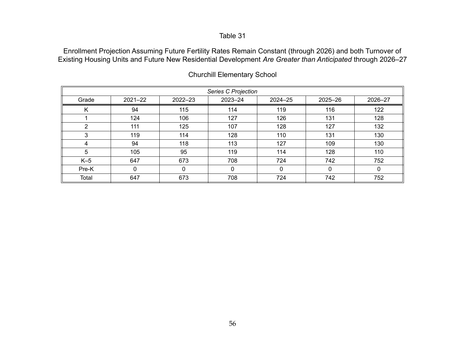Enrollment Projection Assuming Future Fertility Rates Remain Constant (through 2026) and both Turnover of Existing Housing Units and Future New Residential Development *Are Greater than Anticipated* through 2026–27

|       | Series C Projection |         |          |         |          |         |  |  |  |
|-------|---------------------|---------|----------|---------|----------|---------|--|--|--|
| Grade | $2021 - 22$         | 2022-23 | 2023-24  | 2024-25 | 2025-26  | 2026-27 |  |  |  |
| K     | 94                  | 115     | 114      | 119     | 116      | 122     |  |  |  |
|       | 124                 | 106     | 127      | 126     | 131      | 128     |  |  |  |
| ົ     | 111                 | 125     | 107      | 128     | 127      | 132     |  |  |  |
| 3     | 119                 | 114     | 128      | 110     | 131      | 130     |  |  |  |
| 4     | 94                  | 118     | 113      | 127     | 109      | 130     |  |  |  |
| 5     | 105                 | 95      | 119      | 114     | 128      | 110     |  |  |  |
| $K-5$ | 647                 | 673     | 708      | 724     | 742      | 752     |  |  |  |
| Pre-K | 0                   | 0       | $\Omega$ | 0       | $\Omega$ | 0       |  |  |  |
| Total | 647                 | 673     | 708      | 724     | 742      | 752     |  |  |  |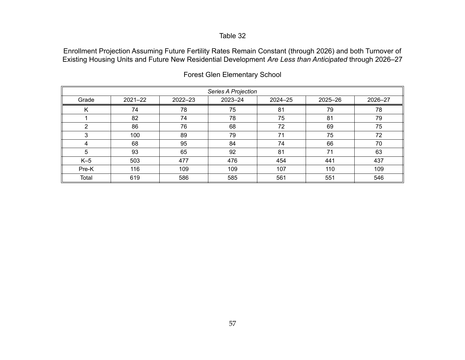Enrollment Projection Assuming Future Fertility Rates Remain Constant (through 2026) and both Turnover of Existing Housing Units and Future New Residential Development *Are Less than Anticipated* through 2026–27

|       |                                                                            |     | Series A Projection |     |     |     |  |  |  |  |  |
|-------|----------------------------------------------------------------------------|-----|---------------------|-----|-----|-----|--|--|--|--|--|
| Grade | $2023 - 24$<br>$2022 - 23$<br>$2021 - 22$<br>2024-25<br>2025-26<br>2026-27 |     |                     |     |     |     |  |  |  |  |  |
| Κ     | 74                                                                         | 78  | 75                  | 81  | 79  | 78  |  |  |  |  |  |
|       | 82                                                                         | 74  | 78                  | 75  | 81  | 79  |  |  |  |  |  |
| ົ     | 86                                                                         | 76  | 68                  | 72  | 69  | 75  |  |  |  |  |  |
| 3     | 100                                                                        | 89  | 79                  | 71  | 75  | 72  |  |  |  |  |  |
| 4     | 68                                                                         | 95  | 84                  | 74  | 66  | 70  |  |  |  |  |  |
| 5     | 93                                                                         | 65  | 92                  | 81  | 71  | 63  |  |  |  |  |  |
| $K-5$ | 503                                                                        | 477 | 476                 | 454 | 441 | 437 |  |  |  |  |  |
| Pre-K | 116                                                                        | 109 | 109                 | 107 | 110 | 109 |  |  |  |  |  |
| Total | 619                                                                        | 586 | 585                 | 561 | 551 | 546 |  |  |  |  |  |

Forest Glen Elementary School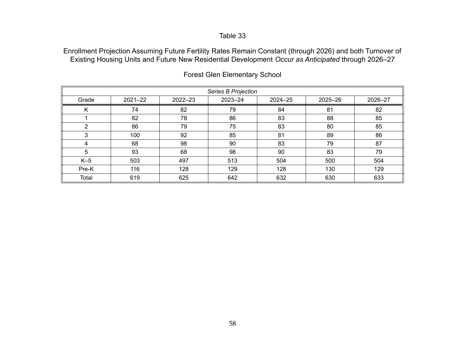Enrollment Projection Assuming Future Fertility Rates Remain Constant (through 2026) and both Turnover of Existing Housing Units and Future New Residential Development *Occur as Anticipated* through 2026–27

|       |             |         | Series B Projection |     |     |     |
|-------|-------------|---------|---------------------|-----|-----|-----|
| Grade | $2021 - 22$ | 2025-26 | 2026-27             |     |     |     |
| Κ     | 74          | 82      | 79                  | 84  | 81  | 82  |
|       | 82          | 78      | 86                  | 83  | 88  | 85  |
| ົ     | 86          | 79      | 75                  | 83  | 80  | 85  |
|       | 100         | 92      | 85                  | 81  | 89  | 86  |
| 4     | 68          | 98      | 90                  | 83  | 79  | 87  |
| 5     | 93          | 68      | 98                  | 90  | 83  | 79  |
| $K-5$ | 503         | 497     | 513                 | 504 | 500 | 504 |
| Pre-K | 116         | 128     | 129                 | 128 | 130 | 129 |
| Total | 619         | 625     | 642                 | 632 | 630 | 633 |

Forest Glen Elementary School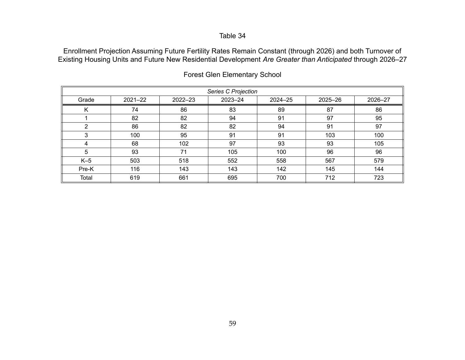Enrollment Projection Assuming Future Fertility Rates Remain Constant (through 2026) and both Turnover of Existing Housing Units and Future New Residential Development *Are Greater than Anticipated* through 2026–27

|       |             |         | <b>Series C Projection</b> |         |         |         |  |
|-------|-------------|---------|----------------------------|---------|---------|---------|--|
| Grade | $2021 - 22$ | 2022-23 | $2023 - 24$                | 2024-25 | 2025-26 | 2026-27 |  |
| K     | 74          | 86      | 83                         | 89      | 87      | 86      |  |
|       | 82          | 82      | 94                         | 91      | 97      | 95      |  |
| ົ     | 86          | 82      | 82                         | 94      | 91      | 97      |  |
| 3     | 100         | 95      | 91                         | 91      | 103     | 100     |  |
| 4     | 68          | 102     | 97                         | 93      | 93      | 105     |  |
| 5     | 93          | 71      | 105                        | 100     | 96      | 96      |  |
| $K-5$ | 503         | 518     | 552                        | 558     | 567     | 579     |  |
| Pre-K | 116         | 143     | 143                        | 142     | 145     | 144     |  |
| Total | 619         | 661     | 695                        | 700     | 712     | 723     |  |

Forest Glen Elementary School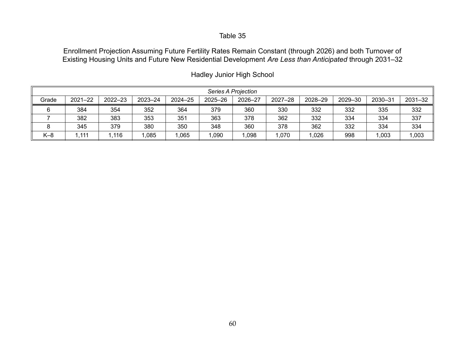Enrollment Projection Assuming Future Fertility Rates Remain Constant (through 2026) and both Turnover of Existing Housing Units and Future New Residential Development *Are Less than Anticipated* through 2031–32

|       | Series A Projection                                                                                                                   |      |      |      |      |       |      |       |     |       |       |  |
|-------|---------------------------------------------------------------------------------------------------------------------------------------|------|------|------|------|-------|------|-------|-----|-------|-------|--|
| Grade | 2031-32<br>$2022 - 23$<br>2026-27<br>2030-31<br>$2021 - 22$<br>2023-24<br>$2024 - 25$<br>2025-26<br>$2027 - 28$<br>2029-30<br>2028-29 |      |      |      |      |       |      |       |     |       |       |  |
| R     | 384                                                                                                                                   | 354  | 352  | 364  | 379  | 360   | 330  | 332   | 332 | 335   | 332   |  |
|       | 382                                                                                                                                   | 383  | 353  | 351  | 363  | 378   | 362  | 332   | 334 | 334   | 337   |  |
|       | 345                                                                                                                                   | 379  | 380  | 350  | 348  | 360   | 378  | 362   | 332 | 334   | 334   |  |
| $K-8$ | 1.111                                                                                                                                 | .116 | .085 | ,065 | ,090 | 1,098 | .070 | 0.026 | 998 | 1,003 | 1,003 |  |

Hadley Junior High School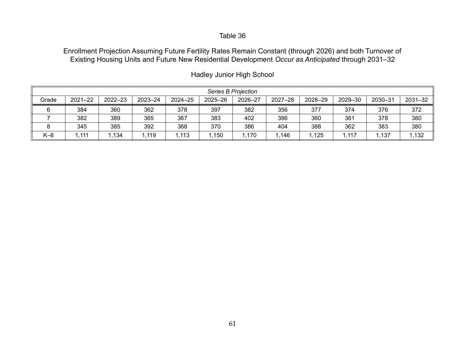Enrollment Projection Assuming Future Fertility Rates Remain Constant (through 2026) and both Turnover of Existing Housing Units and Future New Residential Development *Occur as Anticipated* through 2031–32

|       | Series B Projection                                                                                                                   |      |      |       |      |      |      |      |      |       |       |  |
|-------|---------------------------------------------------------------------------------------------------------------------------------------|------|------|-------|------|------|------|------|------|-------|-------|--|
| Grade | 2026-27<br>$2021 - 22$<br>$2022 - 23$<br>2030-31<br>2031-32<br>2023-24<br>$2024 - 25$<br>$2027 - 28$<br>2025-26<br>2028-29<br>2029-30 |      |      |       |      |      |      |      |      |       |       |  |
| ี     | 384                                                                                                                                   | 360  | 362  | 378   | 397  | 382  | 356  | 377  | 374  | 376   | 372   |  |
|       | 382                                                                                                                                   | 389  | 365  | 367   | 383  | 402  | 386  | 360  | 381  | 378   | 380   |  |
|       | 345                                                                                                                                   | 385  | 392  | 368   | 370  | 386  | 404  | 388  | 362  | 383   | 380   |  |
| $K-8$ | .111                                                                                                                                  | .134 | ,119 | 1,113 | .150 | .170 | .146 | ,125 | .117 | 1,137 | 1,132 |  |

Hadley Junior High School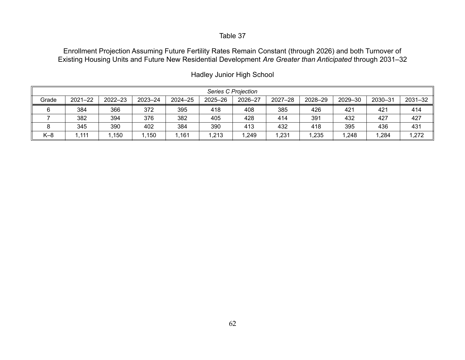Enrollment Projection Assuming Future Fertility Rates Remain Constant (through 2026) and both Turnover of Existing Housing Units and Future New Residential Development *Are Greater than Anticipated* through 2031–32

|       | Series C Projection |         |             |             |         |         |             |         |         |         |         |  |
|-------|---------------------|---------|-------------|-------------|---------|---------|-------------|---------|---------|---------|---------|--|
| Grade | $2021 - 22$         | 2022-23 | $2023 - 24$ | $2024 - 25$ | 2025-26 | 2026-27 | $2027 - 28$ | 2028-29 | 2029-30 | 2030-31 | 2031-32 |  |
|       | 384                 | 366     | 372         | 395         | 418     | 408     | 385         | 426     | 421     | 421     | 414     |  |
|       | 382                 | 394     | 376         | 382         | 405     | 428     | 414         | 391     | 432     | 427     | 427     |  |
|       | 345                 | 390     | 402         | 384         | 390     | 413     | 432         | 418     | 395     | 436     | 431     |  |
| $K-8$ | 1,111               | .150    | .150        | ,161        | .213    | 1,249   | .231        | 1,235   | 1,248   | ,284    | 1,272   |  |

Hadley Junior High School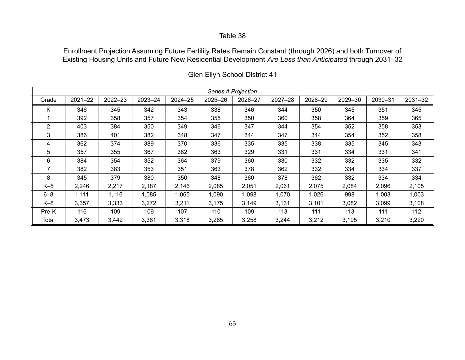Enrollment Projection Assuming Future Fertility Rates Remain Constant (through 2026) and both Turnover of Existing Housing Units and Future New Residential Development *Are Less than Anticipated* through 2031–32

|                |             |         |             |             |         | Series A Projection |             |         |         |         |         |
|----------------|-------------|---------|-------------|-------------|---------|---------------------|-------------|---------|---------|---------|---------|
| Grade          | $2021 - 22$ | 2022-23 | $2023 - 24$ | $2024 - 25$ | 2025-26 | 2026-27             | $2027 - 28$ | 2028-29 | 2029-30 | 2030-31 | 2031-32 |
| K              | 346         | 345     | 342         | 343         | 338     | 346                 | 344         | 350     | 345     | 351     | 345     |
|                | 392         | 358     | 357         | 354         | 355     | 350                 | 360         | 358     | 364     | 359     | 365     |
| $\overline{2}$ | 403         | 384     | 350         | 349         | 346     | 347                 | 344         | 354     | 352     | 358     | 353     |
| 3              | 386         | 401     | 382         | 348         | 347     | 344                 | 347         | 344     | 354     | 352     | 358     |
| 4              | 362         | 374     | 389         | 370         | 336     | 335                 | 335         | 338     | 335     | 345     | 343     |
| 5              | 357         | 355     | 367         | 382         | 363     | 329                 | 331         | 331     | 334     | 331     | 341     |
| 6              | 384         | 354     | 352         | 364         | 379     | 360                 | 330         | 332     | 332     | 335     | 332     |
| 7              | 382         | 383     | 353         | 351         | 363     | 378                 | 362         | 332     | 334     | 334     | 337     |
| 8              | 345         | 379     | 380         | 350         | 348     | 360                 | 378         | 362     | 332     | 334     | 334     |
| $K-5$          | 2,246       | 2,217   | 2,187       | 2,146       | 2,085   | 2,051               | 2,061       | 2,075   | 2,084   | 2,096   | 2,105   |
| $6 - 8$        | 1,111       | 1,116   | 1,085       | 1,065       | 1,090   | 1,098               | 1,070       | 1,026   | 998     | 1,003   | 1,003   |
| $K-8$          | 3,357       | 3,333   | 3,272       | 3,211       | 3,175   | 3,149               | 3,131       | 3,101   | 3,082   | 3,099   | 3,108   |
| Pre-K          | 116         | 109     | 109         | 107         | 110     | 109                 | 113         | 111     | 113     | 111     | 112     |
| Total          | 3,473       | 3,442   | 3,381       | 3,318       | 3,285   | 3,258               | 3,244       | 3,212   | 3,195   | 3,210   | 3,220   |

Glen Ellyn School District 41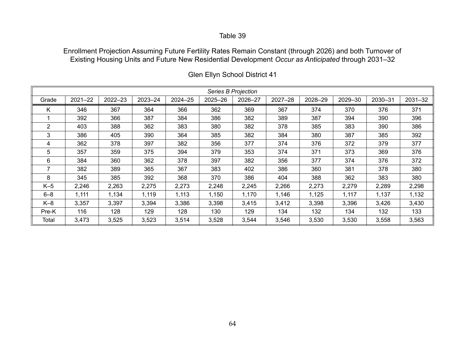Enrollment Projection Assuming Future Fertility Rates Remain Constant (through 2026) and both Turnover of Existing Housing Units and Future New Residential Development *Occur as Anticipated* through 2031–32

|                |             |         |             |         |         | Series B Projection |             |         |         |         |             |
|----------------|-------------|---------|-------------|---------|---------|---------------------|-------------|---------|---------|---------|-------------|
| Grade          | $2021 - 22$ | 2022-23 | $2023 - 24$ | 2024-25 | 2025-26 | 2026-27             | $2027 - 28$ | 2028-29 | 2029-30 | 2030-31 | $2031 - 32$ |
| K              | 346         | 367     | 364         | 366     | 362     | 369                 | 367         | 374     | 370     | 376     | 371         |
|                | 392         | 366     | 387         | 384     | 386     | 382                 | 389         | 387     | 394     | 390     | 396         |
| $\overline{2}$ | 403         | 388     | 362         | 383     | 380     | 382                 | 378         | 385     | 383     | 390     | 386         |
| 3              | 386         | 405     | 390         | 364     | 385     | 382                 | 384         | 380     | 387     | 385     | 392         |
| 4              | 362         | 378     | 397         | 382     | 356     | 377                 | 374         | 376     | 372     | 379     | 377         |
| 5.             | 357         | 359     | 375         | 394     | 379     | 353                 | 374         | 371     | 373     | 369     | 376         |
| 6              | 384         | 360     | 362         | 378     | 397     | 382                 | 356         | 377     | 374     | 376     | 372         |
| 7              | 382         | 389     | 365         | 367     | 383     | 402                 | 386         | 360     | 381     | 378     | 380         |
| 8              | 345         | 385     | 392         | 368     | 370     | 386                 | 404         | 388     | 362     | 383     | 380         |
| $K-5$          | 2,246       | 2,263   | 2,275       | 2,273   | 2,248   | 2,245               | 2,266       | 2,273   | 2,279   | 2,289   | 2,298       |
| $6 - 8$        | 1,111       | 1,134   | 1,119       | 1,113   | 1,150   | 1,170               | 1,146       | 1,125   | 1,117   | 1,137   | 1,132       |
| $K-8$          | 3,357       | 3,397   | 3,394       | 3,386   | 3,398   | 3,415               | 3,412       | 3,398   | 3,396   | 3,426   | 3,430       |
| Pre-K          | 116         | 128     | 129         | 128     | 130     | 129                 | 134         | 132     | 134     | 132     | 133         |
| Total          | 3,473       | 3,525   | 3,523       | 3,514   | 3,528   | 3,544               | 3,546       | 3,530   | 3,530   | 3,558   | 3,563       |

Glen Ellyn School District 41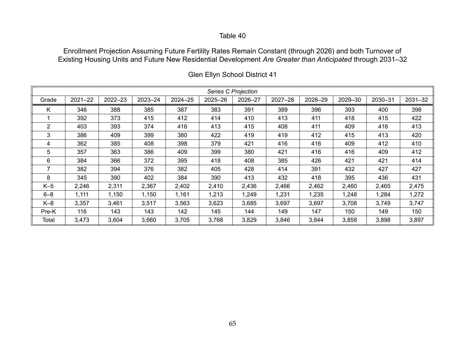Enrollment Projection Assuming Future Fertility Rates Remain Constant (through 2026) and both Turnover of Existing Housing Units and Future New Residential Development *Are Greater than Anticipated* through 2031–32

|                |             |         |             |             |         | Series C Projection |             |         |         |         |             |
|----------------|-------------|---------|-------------|-------------|---------|---------------------|-------------|---------|---------|---------|-------------|
| Grade          | $2021 - 22$ | 2022-23 | $2023 - 24$ | $2024 - 25$ | 2025-26 | 2026-27             | $2027 - 28$ | 2028-29 | 2029-30 | 2030-31 | $2031 - 32$ |
| K              | 346         | 388     | 385         | 387         | 383     | 391                 | 389         | 396     | 393     | 400     | 398         |
|                | 392         | 373     | 415         | 412         | 414     | 410                 | 413         | 411     | 418     | 415     | 422         |
| $\overline{2}$ | 403         | 393     | 374         | 416         | 413     | 415                 | 408         | 411     | 409     | 416     | 413         |
| 3              | 386         | 409     | 399         | 380         | 422     | 419                 | 419         | 412     | 415     | 413     | 420         |
| 4              | 362         | 385     | 408         | 398         | 379     | 421                 | 416         | 416     | 409     | 412     | 410         |
| 5.             | 357         | 363     | 386         | 409         | 399     | 380                 | 421         | 416     | 416     | 409     | 412         |
| 6              | 384         | 366     | 372         | 395         | 418     | 408                 | 385         | 426     | 421     | 421     | 414         |
| 7              | 382         | 394     | 376         | 382         | 405     | 428                 | 414         | 391     | 432     | 427     | 427         |
| 8              | 345         | 390     | 402         | 384         | 390     | 413                 | 432         | 418     | 395     | 436     | 431         |
| $K-5$          | 2,246       | 2,311   | 2,367       | 2,402       | 2,410   | 2,436               | 2,466       | 2,462   | 2,460   | 2,465   | 2,475       |
| $6 - 8$        | 1,111       | 1,150   | 1,150       | 1,161       | 1,213   | 1,249               | 1,231       | 1,235   | 1,248   | 1,284   | 1,272       |
| $K-8$          | 3,357       | 3,461   | 3,517       | 3,563       | 3,623   | 3,685               | 3,697       | 3,697   | 3,708   | 3,749   | 3,747       |
| Pre-K          | 116         | 143     | 143         | 142         | 145     | 144                 | 149         | 147     | 150     | 149     | 150         |
| Total          | 3,473       | 3,604   | 3,660       | 3,705       | 3,768   | 3,829               | 3,846       | 3,844   | 3,858   | 3,898   | 3,897       |

Glen Ellyn School District 41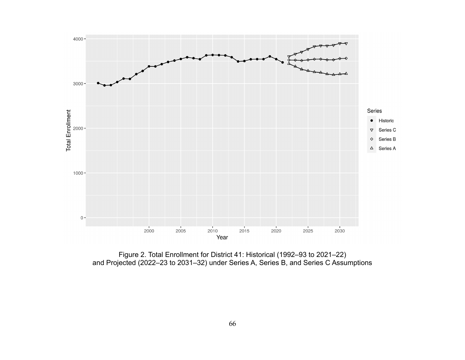

Figure 2. Total Enrollment for District 41: Historical (1992–93 to 2021–22) and Projected (2022–23 to 2031–32) under Series A, Series B, and Series C Assumptions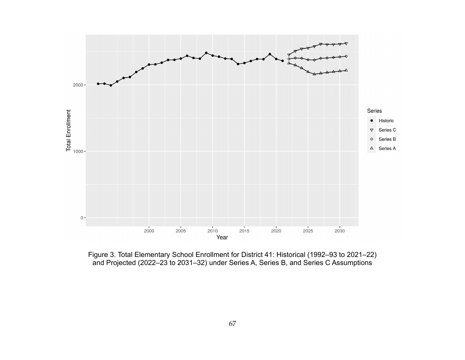

Figure 3. Total Elementary School Enrollment for District 41: Historical (1992–93 to 2021–22) and Projected (2022–23 to 2031–32) under Series A, Series B, and Series C Assumptions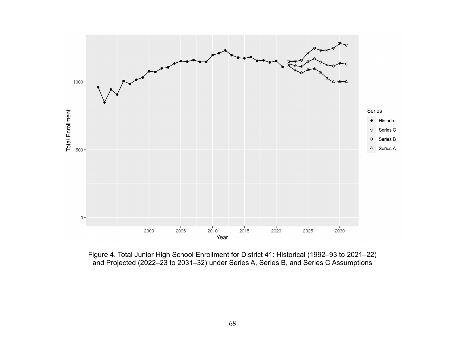

Figure 4. Total Junior High School Enrollment for District 41: Historical (1992–93 to 2021–22) and Projected (2022–23 to 2031–32) under Series A, Series B, and Series C Assumptions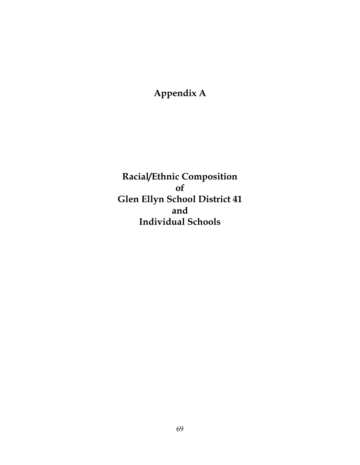# **Appendix A**

**Racial/Ethnic Composition of Glen Ellyn School District 41 and Individual Schools**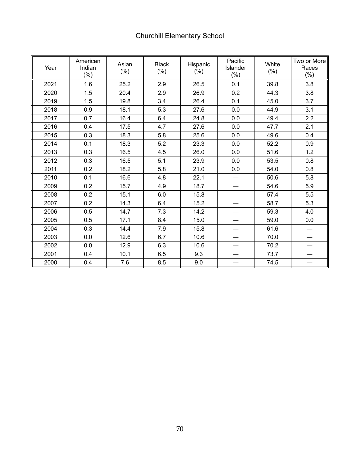| Year | American<br>Indian<br>$(\% )$ | Asian<br>$(\% )$ | <b>Black</b><br>$(\% )$ | Hispanic<br>$(\% )$ | Pacific<br>Islander<br>$(\% )$ | White<br>$(\% )$ | Two or More<br>Races<br>$(\% )$ |
|------|-------------------------------|------------------|-------------------------|---------------------|--------------------------------|------------------|---------------------------------|
| 2021 | 1.6                           | 25.2             | 2.9                     | 26.5                | 0.1                            | 39.8             | 3.8                             |
| 2020 | 1.5                           | 20.4             | 2.9                     | 26.9                | 0.2                            | 44.3             | 3.8                             |
| 2019 | 1.5                           | 19.8             | 3.4                     | 26.4                | 0.1                            | 45.0             | 3.7                             |
| 2018 | 0.9                           | 18.1             | 5.3                     | 27.6                | 0.0                            | 44.9             | 3.1                             |
| 2017 | 0.7                           | 16.4             | 6.4                     | 24.8                | 0.0                            | 49.4             | 2.2                             |
| 2016 | 0.4                           | 17.5             | 4.7                     | 27.6                | 0.0                            | 47.7             | 2.1                             |
| 2015 | 0.3                           | 18.3             | 5.8                     | 25.6                | 0.0                            | 49.6             | 0.4                             |
| 2014 | 0.1                           | 18.3             | 5.2                     | 23.3                | 0.0                            | 52.2             | 0.9                             |
| 2013 | 0.3                           | 16.5             | 4.5                     | 26.0                | 0.0                            | 51.6             | 1.2                             |
| 2012 | 0.3                           | 16.5             | 5.1                     | 23.9                | 0.0                            | 53.5             | 0.8                             |
| 2011 | 0.2                           | 18.2             | 5.8                     | 21.0                | 0.0                            | 54.0             | 0.8                             |
| 2010 | 0.1                           | 16.6             | 4.8                     | 22.1                |                                | 50.6             | 5.8                             |
| 2009 | 0.2                           | 15.7             | 4.9                     | 18.7                |                                | 54.6             | 5.9                             |
| 2008 | 0.2                           | 15.1             | 6.0                     | 15.8                |                                | 57.4             | 5.5                             |
| 2007 | 0.2                           | 14.3             | 6.4                     | 15.2                |                                | 58.7             | 5.3                             |
| 2006 | 0.5                           | 14.7             | 7.3                     | 14.2                |                                | 59.3             | 4.0                             |
| 2005 | 0.5                           | 17.1             | 8.4                     | 15.0                |                                | 59.0             | 0.0                             |
| 2004 | 0.3                           | 14.4             | 7.9                     | 15.8                |                                | 61.6             |                                 |
| 2003 | 0.0                           | 12.6             | 6.7                     | 10.6                |                                | 70.0             |                                 |
| 2002 | 0.0                           | 12.9             | 6.3                     | 10.6                |                                | 70.2             |                                 |
| 2001 | 0.4                           | 10.1             | 6.5                     | 9.3                 |                                | 73.7             |                                 |
| 2000 | 0.4                           | 7.6              | 8.5                     | 9.0                 |                                | 74.5             |                                 |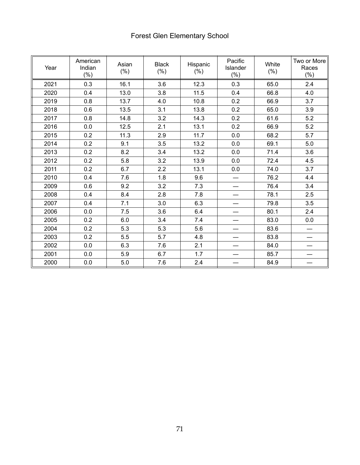# Forest Glen Elementary School

| Year | American<br>Indian<br>$(\% )$ | Asian<br>$(\% )$ | <b>Black</b><br>$(\% )$ | Hispanic<br>$(\% )$ | Pacific<br>Islander<br>$(\%)$ | White<br>$(\% )$ | Two or More<br>Races<br>$(\% )$ |
|------|-------------------------------|------------------|-------------------------|---------------------|-------------------------------|------------------|---------------------------------|
| 2021 | 0.3                           | 16.1             | 3.6                     | 12.3                | 0.3                           | 65.0             | 2.4                             |
| 2020 | 0.4                           | 13.0             | 3.8                     | 11.5                | 0.4                           | 66.8             | 4.0                             |
| 2019 | 0.8                           | 13.7             | 4.0                     | 10.8                | 0.2                           | 66.9             | 3.7                             |
| 2018 | 0.6                           | 13.5             | 3.1                     | 13.8                | 0.2                           | 65.0             | 3.9                             |
| 2017 | 0.8                           | 14.8             | 3.2                     | 14.3                | 0.2                           | 61.6             | 5.2                             |
| 2016 | 0.0                           | 12.5             | 2.1                     | 13.1                | 0.2                           | 66.9             | 5.2                             |
| 2015 | 0.2                           | 11.3             | 2.9                     | 11.7                | 0.0                           | 68.2             | 5.7                             |
| 2014 | 0.2                           | 9.1              | 3.5                     | 13.2                | 0.0                           | 69.1             | 5.0                             |
| 2013 | 0.2                           | 8.2              | 3.4                     | 13.2                | 0.0                           | 71.4             | 3.6                             |
| 2012 | 0.2                           | 5.8              | 3.2                     | 13.9                | 0.0                           | 72.4             | 4.5                             |
| 2011 | 0.2                           | 6.7              | 2.2                     | 13.1                | 0.0                           | 74.0             | 3.7                             |
| 2010 | 0.4                           | 7.6              | 1.8                     | 9.6                 |                               | 76.2             | 4.4                             |
| 2009 | 0.6                           | 9.2              | 3.2                     | 7.3                 |                               | 76.4             | 3.4                             |
| 2008 | 0.4                           | 8.4              | 2.8                     | 7.8                 |                               | 78.1             | 2.5                             |
| 2007 | 0.4                           | 7.1              | 3.0                     | 6.3                 |                               | 79.8             | 3.5                             |
| 2006 | 0.0                           | 7.5              | 3.6                     | 6.4                 |                               | 80.1             | 2.4                             |
| 2005 | 0.2                           | 6.0              | 3.4                     | 7.4                 |                               | 83.0             | 0.0                             |
| 2004 | 0.2                           | 5.3              | 5.3                     | 5.6                 |                               | 83.6             |                                 |
| 2003 | 0.2                           | 5.5              | 5.7                     | 4.8                 |                               | 83.8             |                                 |
| 2002 | 0.0                           | 6.3              | 7.6                     | 2.1                 |                               | 84.0             |                                 |
| 2001 | 0.0                           | 5.9              | 6.7                     | 1.7                 |                               | 85.7             |                                 |
| 2000 | 0.0                           | $5.0$            | 7.6                     | 2.4                 |                               | 84.9             |                                 |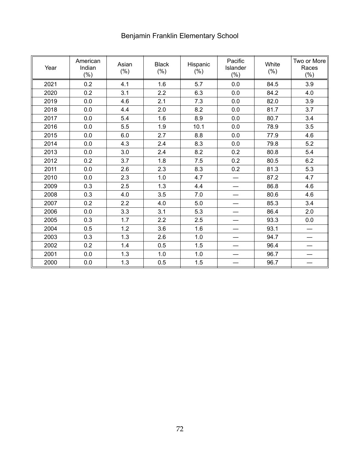# Benjamin Franklin Elementary School

| Year | American<br>Indian<br>$(\% )$ | Asian<br>$(\% )$ | <b>Black</b><br>$(\% )$ | Hispanic<br>$(\% )$ | Pacific<br>Islander<br>$(\% )$ | White<br>$(\% )$ | Two or More<br>Races<br>$(\% )$ |
|------|-------------------------------|------------------|-------------------------|---------------------|--------------------------------|------------------|---------------------------------|
| 2021 | 0.2                           | 4.1              | 1.6                     | 5.7                 | 0.0                            | 84.5             | 3.9                             |
| 2020 | 0.2                           | 3.1              | 2.2                     | 6.3                 | 0.0                            | 84.2             | 4.0                             |
| 2019 | 0.0                           | 4.6              | 2.1                     | 7.3                 | 0.0                            | 82.0             | 3.9                             |
| 2018 | 0.0                           | 4.4              | 2.0                     | 8.2                 | 0.0                            | 81.7             | 3.7                             |
| 2017 | 0.0                           | 5.4              | 1.6                     | 8.9                 | 0.0                            | 80.7             | 3.4                             |
| 2016 | 0.0                           | 5.5              | 1.9                     | 10.1                | 0.0                            | 78.9             | 3.5                             |
| 2015 | 0.0                           | 6.0              | 2.7                     | 8.8                 | 0.0                            | 77.9             | 4.6                             |
| 2014 | 0.0                           | 4.3              | 2.4                     | 8.3                 | 0.0                            | 79.8             | 5.2                             |
| 2013 | 0.0                           | 3.0              | 2.4                     | 8.2                 | 0.2                            | 80.8             | 5.4                             |
| 2012 | 0.2                           | 3.7              | 1.8                     | 7.5                 | 0.2                            | 80.5             | 6.2                             |
| 2011 | 0.0                           | 2.6              | 2.3                     | 8.3                 | 0.2                            | 81.3             | 5.3                             |
| 2010 | 0.0                           | 2.3              | 1.0                     | 4.7                 |                                | 87.2             | 4.7                             |
| 2009 | 0.3                           | 2.5              | 1.3                     | 4.4                 |                                | 86.8             | 4.6                             |
| 2008 | 0.3                           | 4.0              | 3.5                     | 7.0                 |                                | 80.6             | 4.6                             |
| 2007 | 0.2                           | 2.2              | 4.0                     | 5.0                 |                                | 85.3             | 3.4                             |
| 2006 | 0.0                           | 3.3              | 3.1                     | 5.3                 |                                | 86.4             | 2.0                             |
| 2005 | 0.3                           | 1.7              | 2.2                     | 2.5                 |                                | 93.3             | 0.0                             |
| 2004 | 0.5                           | 1.2              | 3.6                     | 1.6                 | —                              | 93.1             |                                 |
| 2003 | 0.3                           | 1.3              | 2.6                     | 1.0                 |                                | 94.7             |                                 |
| 2002 | 0.2                           | 1.4              | 0.5                     | 1.5                 | —                              | 96.4             |                                 |
| 2001 | 0.0                           | 1.3              | 1.0                     | 1.0                 |                                | 96.7             |                                 |
| 2000 | 0.0                           | 1.3              | 0.5                     | 1.5                 |                                | 96.7             |                                 |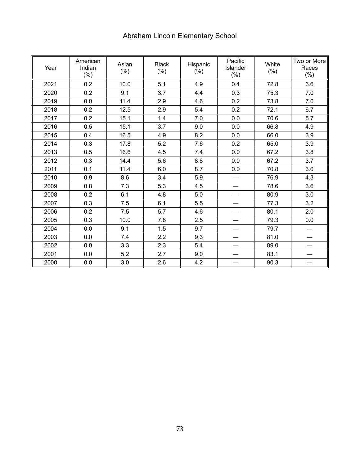# Abraham Lincoln Elementary School

| Year | American<br>Indian<br>$(\% )$ | Asian<br>$(\% )$ | <b>Black</b><br>$(\% )$ | Hispanic<br>$(\% )$ | Pacific<br>Islander<br>(% ) | White<br>$(\% )$ | Two or More<br>Races<br>$(\% )$ |
|------|-------------------------------|------------------|-------------------------|---------------------|-----------------------------|------------------|---------------------------------|
| 2021 | 0.2                           | 10.0             | 5.1                     | 4.9                 | 0.4                         | 72.8             | 6.6                             |
| 2020 | 0.2                           | 9.1              | 3.7                     | 4.4                 | 0.3                         | 75.3             | 7.0                             |
| 2019 | 0.0                           | 11.4             | 2.9                     | 4.6                 | 0.2                         | 73.8             | 7.0                             |
| 2018 | 0.2                           | 12.5             | 2.9                     | 5.4                 | 0.2                         | 72.1             | 6.7                             |
| 2017 | 0.2                           | 15.1             | 1.4                     | 7.0                 | 0.0                         | 70.6             | 5.7                             |
| 2016 | 0.5                           | 15.1             | 3.7                     | 9.0                 | 0.0                         | 66.8             | 4.9                             |
| 2015 | 0.4                           | 16.5             | 4.9                     | 8.2                 | 0.0                         | 66.0             | 3.9                             |
| 2014 | 0.3                           | 17.8             | 5.2                     | 7.6                 | 0.2                         | 65.0             | 3.9                             |
| 2013 | 0.5                           | 16.6             | 4.5                     | 7.4                 | 0.0                         | 67.2             | 3.8                             |
| 2012 | 0.3                           | 14.4             | 5.6                     | 8.8                 | 0.0                         | 67.2             | 3.7                             |
| 2011 | 0.1                           | 11.4             | 6.0                     | 8.7                 | 0.0                         | 70.8             | 3.0                             |
| 2010 | 0.9                           | 8.6              | 3.4                     | 5.9                 |                             | 76.9             | 4.3                             |
| 2009 | 0.8                           | 7.3              | 5.3                     | 4.5                 |                             | 78.6             | 3.6                             |
| 2008 | 0.2                           | 6.1              | 4.8                     | 5.0                 |                             | 80.9             | 3.0                             |
| 2007 | 0.3                           | 7.5              | 6.1                     | 5.5                 |                             | 77.3             | 3.2                             |
| 2006 | 0.2                           | 7.5              | 5.7                     | 4.6                 |                             | 80.1             | 2.0                             |
| 2005 | 0.3                           | 10.0             | 7.8                     | 2.5                 |                             | 79.3             | 0.0                             |
| 2004 | 0.0                           | 9.1              | 1.5                     | 9.7                 |                             | 79.7             |                                 |
| 2003 | 0.0                           | 7.4              | 2.2                     | 9.3                 |                             | 81.0             |                                 |
| 2002 | 0.0                           | 3.3              | 2.3                     | 5.4                 | —                           | 89.0             |                                 |
| 2001 | 0.0                           | 5.2              | 2.7                     | 9.0                 |                             | 83.1             |                                 |
| 2000 | 0.0                           | 3.0              | 2.6                     | 4.2                 |                             | 90.3             |                                 |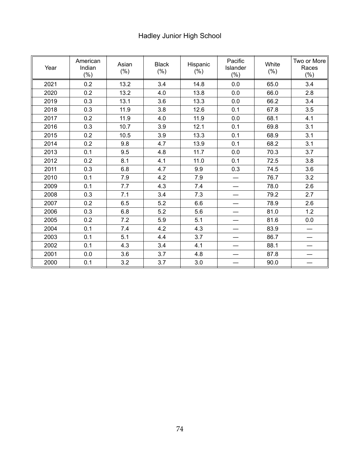# Hadley Junior High School

| Year | American<br>Indian<br>$(\% )$ | Asian<br>$(\% )$ | <b>Black</b><br>$(\% )$ | Hispanic<br>$(\% )$ | Pacific<br>Islander<br>$(\% )$ | White<br>$(\% )$ | Two or More<br>Races<br>$(\% )$ |
|------|-------------------------------|------------------|-------------------------|---------------------|--------------------------------|------------------|---------------------------------|
| 2021 | 0.2                           | 13.2             | 3.4                     | 14.8                | 0.0                            | 65.0             | 3.4                             |
| 2020 | 0.2                           | 13.2             | 4.0                     | 13.8                | 0.0                            | 66.0             | 2.8                             |
| 2019 | 0.3                           | 13.1             | 3.6                     | 13.3                | 0.0                            | 66.2             | 3.4                             |
| 2018 | 0.3                           | 11.9             | 3.8                     | 12.6                | 0.1                            | 67.8             | 3.5                             |
| 2017 | 0.2                           | 11.9             | 4.0                     | 11.9                | 0.0                            | 68.1             | 4.1                             |
| 2016 | 0.3                           | 10.7             | 3.9                     | 12.1                | 0.1                            | 69.8             | 3.1                             |
| 2015 | 0.2                           | 10.5             | 3.9                     | 13.3                | 0.1                            | 68.9             | 3.1                             |
| 2014 | 0.2                           | 9.8              | 4.7                     | 13.9                | 0.1                            | 68.2             | 3.1                             |
| 2013 | 0.1                           | 9.5              | 4.8                     | 11.7                | 0.0                            | 70.3             | 3.7                             |
| 2012 | 0.2                           | 8.1              | 4.1                     | 11.0                | 0.1                            | 72.5             | 3.8                             |
| 2011 | 0.3                           | 6.8              | 4.7                     | 9.9                 | 0.3                            | 74.5             | 3.6                             |
| 2010 | 0.1                           | 7.9              | 4.2                     | 7.9                 |                                | 76.7             | 3.2                             |
| 2009 | 0.1                           | 7.7              | 4.3                     | 7.4                 |                                | 78.0             | 2.6                             |
| 2008 | 0.3                           | 7.1              | 3.4                     | 7.3                 |                                | 79.2             | 2.7                             |
| 2007 | 0.2                           | 6.5              | 5.2                     | 6.6                 |                                | 78.9             | 2.6                             |
| 2006 | 0.3                           | 6.8              | 5.2                     | 5.6                 |                                | 81.0             | 1.2                             |
| 2005 | 0.2                           | 7.2              | 5.9                     | 5.1                 |                                | 81.6             | 0.0                             |
| 2004 | 0.1                           | 7.4              | 4.2                     | 4.3                 |                                | 83.9             |                                 |
| 2003 | 0.1                           | 5.1              | 4.4                     | 3.7                 |                                | 86.7             |                                 |
| 2002 | 0.1                           | 4.3              | 3.4                     | 4.1                 | —                              | 88.1             |                                 |
| 2001 | 0.0                           | 3.6              | 3.7                     | 4.8                 |                                | 87.8             |                                 |
| 2000 | 0.1                           | 3.2              | 3.7                     | 3.0                 |                                | 90.0             |                                 |